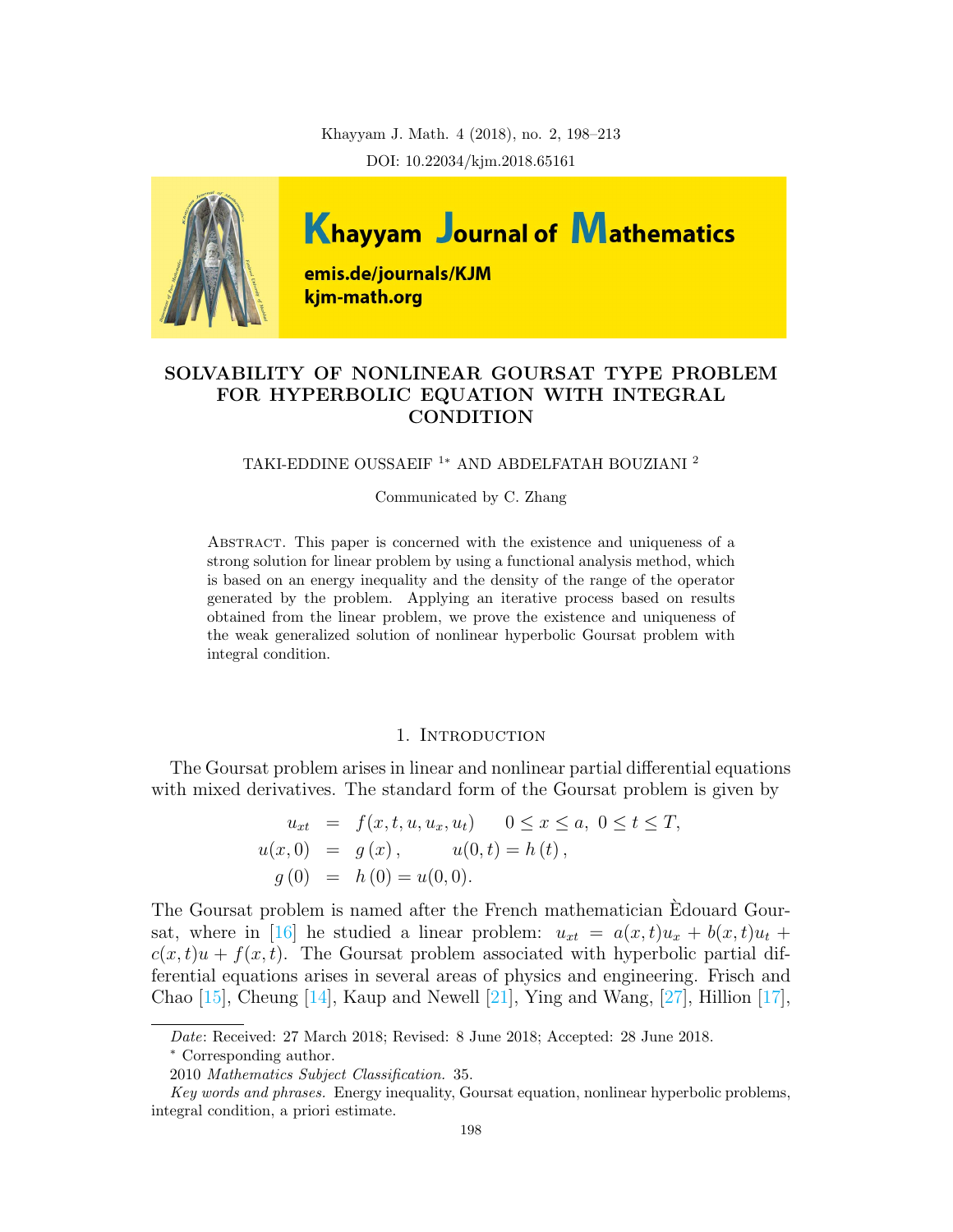Khayyam J. Math. 4 (2018), no. 2, 198–213 DOI: 10.22034/kjm.2018.65161



# SOLVABILITY OF NONLINEAR GOURSAT TYPE PROBLEM FOR HYPERBOLIC EQUATION WITH INTEGRAL CONDITION

TAKI-EDDINE OUSSAEIF <sup>1</sup><sup>∗</sup> AND ABDELFATAH BOUZIANI <sup>2</sup>

Communicated by C. Zhang

Abstract. This paper is concerned with the existence and uniqueness of a strong solution for linear problem by using a functional analysis method, which is based on an energy inequality and the density of the range of the operator generated by the problem. Applying an iterative process based on results obtained from the linear problem, we prove the existence and uniqueness of the weak generalized solution of nonlinear hyperbolic Goursat problem with integral condition.

### 1. Introduction

The Goursat problem arises in linear and nonlinear partial differential equations with mixed derivatives. The standard form of the Goursat problem is given by

$$
u_{xt} = f(x, t, u, u_x, u_t) \quad 0 \le x \le a, \ 0 \le t \le T,
$$
  
\n
$$
u(x, 0) = g(x), \quad u(0, t) = h(t),
$$
  
\n
$$
g(0) = h(0) = u(0, 0).
$$

The Goursat problem is named after the French mathematician Edouard Gour-sat, where in [\[16\]](#page-15-0) he studied a linear problem:  $u_{xt} = a(x,t)u_x + b(x,t)u_t +$  $c(x, t)u + f(x, t)$ . The Goursat problem associated with hyperbolic partial differential equations arises in several areas of physics and engineering. Frisch and Chao [\[15\]](#page-14-0), Cheung [\[14\]](#page-14-1), Kaup and Newell [\[21\]](#page-15-1), Ying and Wang, [\[27\]](#page-15-2), Hillion [\[17\]](#page-15-3),

Date: Received: 27 March 2018; Revised: 8 June 2018; Accepted: 28 June 2018.

<sup>∗</sup> Corresponding author.

<sup>2010</sup> Mathematics Subject Classification. 35.

Key words and phrases. Energy inequality, Goursat equation, nonlinear hyperbolic problems, integral condition, a priori estimate.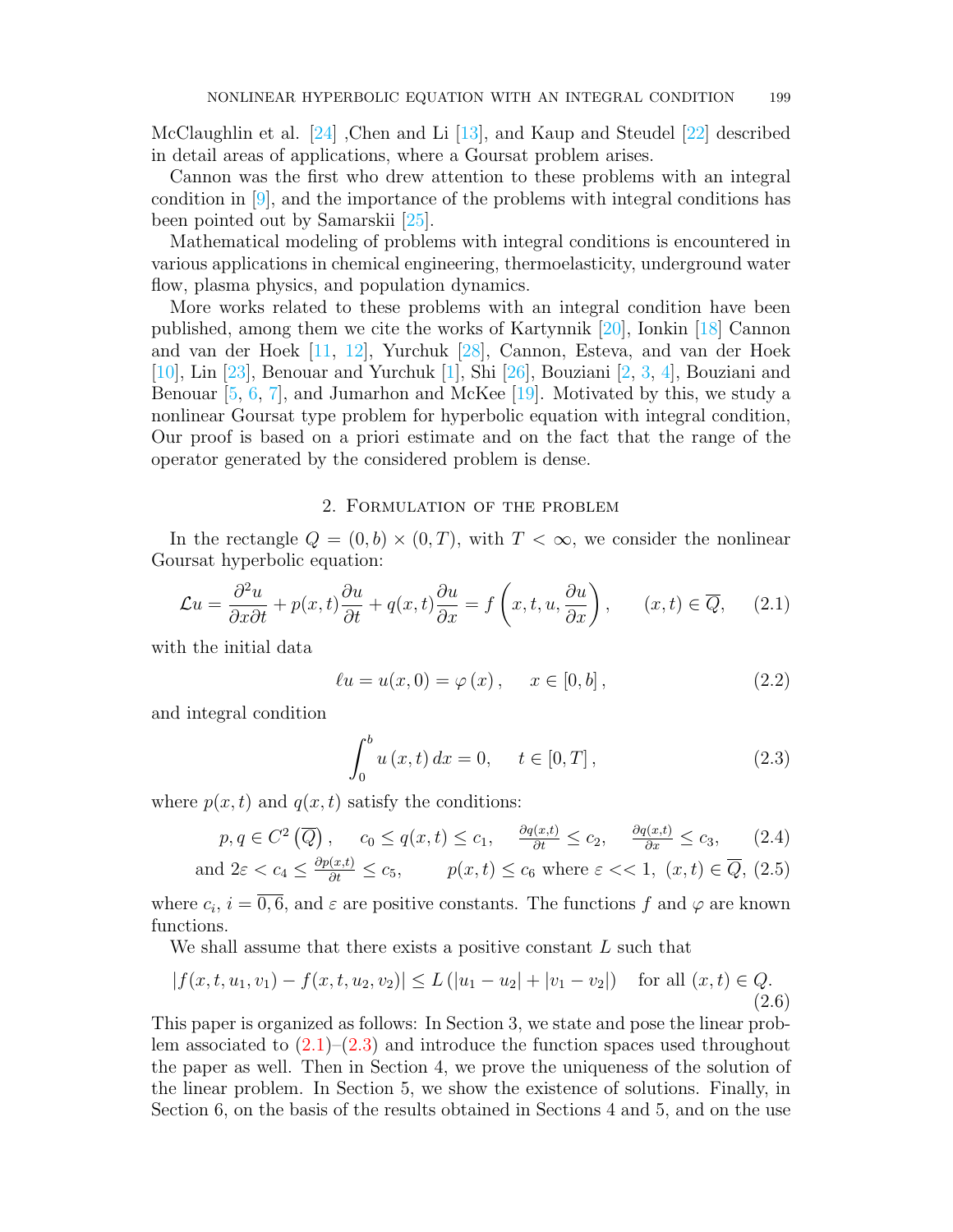McClaughlin et al. [\[24\]](#page-15-4) ,Chen and Li [\[13\]](#page-14-2), and Kaup and Steudel [\[22\]](#page-15-5) described in detail areas of applications, where a Goursat problem arises.

Cannon was the first who drew attention to these problems with an integral condition in [\[9\]](#page-14-3), and the importance of the problems with integral conditions has been pointed out by Samarskii [\[25\]](#page-15-6).

Mathematical modeling of problems with integral conditions is encountered in various applications in chemical engineering, thermoelasticity, underground water flow, plasma physics, and population dynamics.

More works related to these problems with an integral condition have been published, among them we cite the works of Kartynnik [\[20\]](#page-15-7), Ionkin [\[18\]](#page-15-8) Cannon and van der Hoek [\[11,](#page-14-4) [12\]](#page-14-5), Yurchuk [\[28\]](#page-15-9), Cannon, Esteva, and van der Hoek [\[10\]](#page-14-6), Lin [\[23\]](#page-15-10), Benouar and Yurchuk [\[1\]](#page-14-7), Shi [\[26\]](#page-15-11), Bouziani [\[2,](#page-14-8) [3,](#page-14-9) [4\]](#page-14-10), Bouziani and Benouar  $[5, 6, 7]$  $[5, 6, 7]$  $[5, 6, 7]$  $[5, 6, 7]$  $[5, 6, 7]$ , and Jumarhon and McKee  $[19]$ . Motivated by this, we study a nonlinear Goursat type problem for hyperbolic equation with integral condition, Our proof is based on a priori estimate and on the fact that the range of the operator generated by the considered problem is dense.

## 2. Formulation of the problem

In the rectangle  $Q = (0, b) \times (0, T)$ , with  $T < \infty$ , we consider the nonlinear Goursat hyperbolic equation:

<span id="page-1-0"></span>
$$
\mathcal{L}u = \frac{\partial^2 u}{\partial x \partial t} + p(x, t)\frac{\partial u}{\partial t} + q(x, t)\frac{\partial u}{\partial x} = f\left(x, t, u, \frac{\partial u}{\partial x}\right), \qquad (x, t) \in \overline{Q}, \qquad (2.1)
$$

with the initial data

<span id="page-1-3"></span>
$$
\ell u = u(x, 0) = \varphi(x), \quad x \in [0, b],
$$
 (2.2)

and integral condition

<span id="page-1-1"></span>
$$
\int_{0}^{b} u(x, t) dx = 0, \quad t \in [0, T],
$$
\n(2.3)

where  $p(x, t)$  and  $q(x, t)$  satisfy the conditions:

<span id="page-1-2"></span>
$$
p, q \in C^2(\overline{Q}),
$$
  $c_0 \le q(x, t) \le c_1,$   $\frac{\partial q(x, t)}{\partial t} \le c_2,$   $\frac{\partial q(x, t)}{\partial x} \le c_3,$  (2.4)

and 
$$
2\varepsilon < c_4 \leq \frac{\partial p(x,t)}{\partial t} \leq c_5
$$
,  $p(x,t) \leq c_6$  where  $\varepsilon < 1$ ,  $(x,t) \in \overline{Q}$ , (2.5)

where  $c_i$ ,  $i = \overline{0, 6}$ , and  $\varepsilon$  are positive constants. The functions f and  $\varphi$  are known functions.

We shall assume that there exists a positive constant L such that

<span id="page-1-4"></span>
$$
|f(x, t, u_1, v_1) - f(x, t, u_2, v_2)| \le L (|u_1 - u_2| + |v_1 - v_2|) \quad \text{for all } (x, t) \in Q.
$$
\n(2.6)

This paper is organized as follows: In Section 3, we state and pose the linear problem associated to  $(2.1)$ – $(2.3)$  and introduce the function spaces used throughout the paper as well. Then in Section 4, we prove the uniqueness of the solution of the linear problem. In Section 5, we show the existence of solutions. Finally, in Section 6, on the basis of the results obtained in Sections 4 and 5, and on the use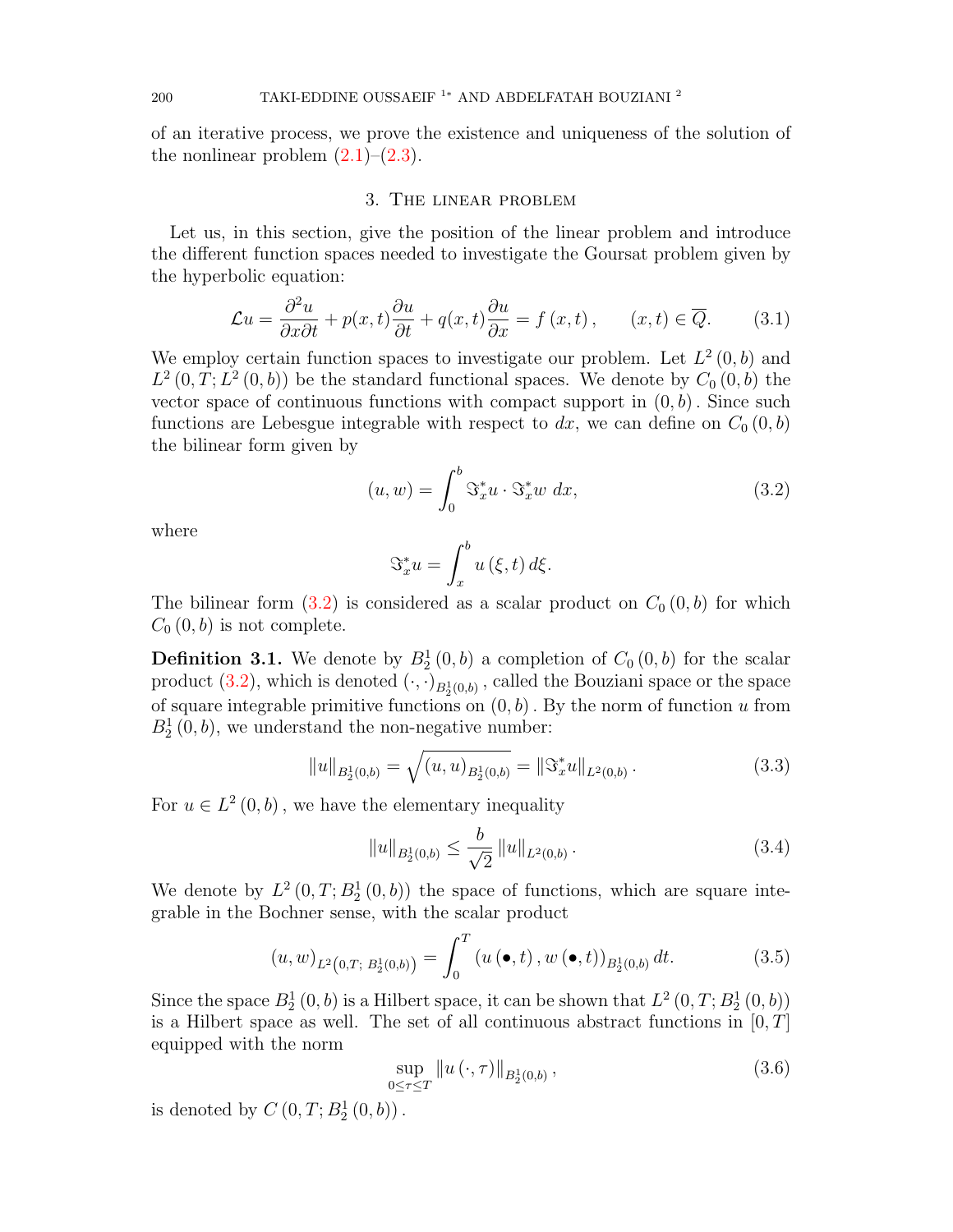of an iterative process, we prove the existence and uniqueness of the solution of the nonlinear problem  $(2.1)$ – $(2.3)$ .

#### 3. The linear problem

Let us, in this section, give the position of the linear problem and introduce the different function spaces needed to investigate the Goursat problem given by the hyperbolic equation:

<span id="page-2-1"></span>
$$
\mathcal{L}u = \frac{\partial^2 u}{\partial x \partial t} + p(x, t)\frac{\partial u}{\partial t} + q(x, t)\frac{\partial u}{\partial x} = f(x, t), \qquad (x, t) \in \overline{Q}.\tag{3.1}
$$

We employ certain function spaces to investigate our problem. Let  $L^2(0, b)$  and  $L^2(0,T; L^2(0,b))$  be the standard functional spaces. We denote by  $C_0(0,b)$  the vector space of continuous functions with compact support in  $(0, b)$ . Since such functions are Lebesgue integrable with respect to dx, we can define on  $C_0(0, b)$ the bilinear form given by

<span id="page-2-0"></span>
$$
(u, w) = \int_0^b \Im_x^* u \cdot \Im_x^* w \, dx,\tag{3.2}
$$

where

$$
\mathfrak{S}_x^* u = \int_x^b u(\xi, t) \, d\xi.
$$

The bilinear form  $(3.2)$  is considered as a scalar product on  $C_0(0, b)$  for which  $C_0(0, b)$  is not complete.

**Definition 3.1.** We denote by  $B_2^1(0, b)$  a completion of  $C_0(0, b)$  for the scalar product [\(3.2\)](#page-2-0), which is denoted  $(\cdot, \cdot)_{B_2^1(0,b)}$ , called the Bouziani space or the space of square integrable primitive functions on  $(0, b)$ . By the norm of function u from  $B_2^1(0, b)$ , we understand the non-negative number:

$$
||u||_{B_2^1(0,b)} = \sqrt{(u, u)_{B_2^1(0,b)}} = ||\Im_x^* u||_{L^2(0,b)}.
$$
\n(3.3)

For  $u \in L^2(0, b)$ , we have the elementary inequality

$$
||u||_{B_2^1(0,b)} \le \frac{b}{\sqrt{2}} ||u||_{L^2(0,b)}.
$$
\n(3.4)

We denote by  $L^2(0,T; B_2^1(0,b))$  the space of functions, which are square integrable in the Bochner sense, with the scalar product

$$
(u, w)_{L^{2}\left(0,T;\ B_{2}^{1}(0,b)\right)} = \int_{0}^{T} \left(u\left(\bullet, t\right), w\left(\bullet, t\right)\right)_{B_{2}^{1}(0,b)} dt.
$$
 (3.5)

Since the space  $B_2^1(0, b)$  is a Hilbert space, it can be shown that  $L^2(0, T; B_2^1(0, b))$ is a Hilbert space as well. The set of all continuous abstract functions in  $[0, T]$ equipped with the norm

$$
\sup_{0 \le \tau \le T} \|u(\cdot, \tau)\|_{B_2^1(0, b)}, \tag{3.6}
$$

is denoted by  $C(0, T; B_2^1(0, b))$ .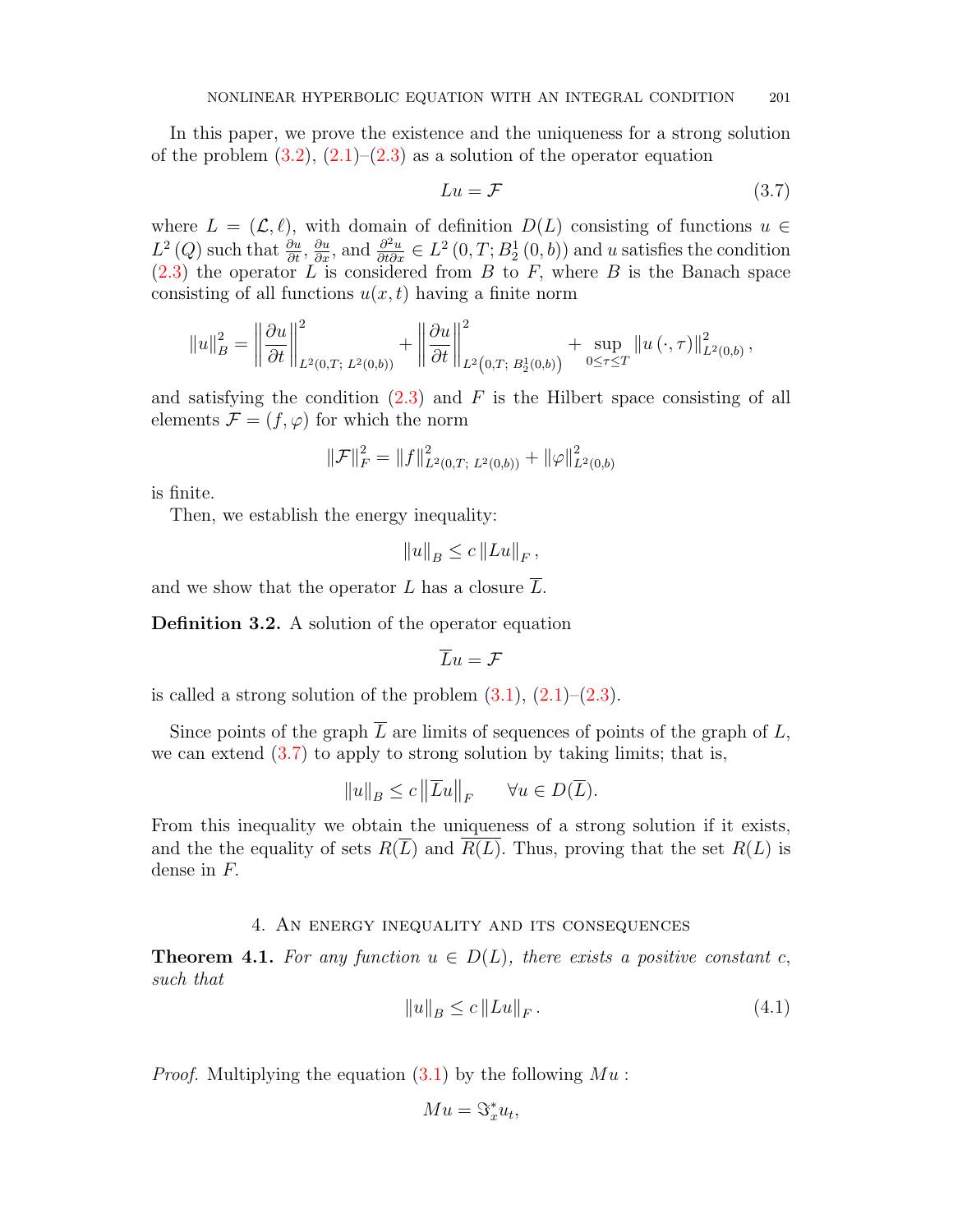In this paper, we prove the existence and the uniqueness for a strong solution of the problem  $(3.2)$ ,  $(2.1)$ – $(2.3)$  as a solution of the operator equation

<span id="page-3-0"></span>
$$
Lu = \mathcal{F} \tag{3.7}
$$

where  $L = (\mathcal{L}, \ell)$ , with domain of definition  $D(L)$  consisting of functions  $u \in$  $L^2(Q)$  such that  $\frac{\partial u}{\partial t}$ ,  $\frac{\partial u}{\partial x}$ , and  $\frac{\partial^2 u}{\partial t \partial x} \in L^2(0,T;B_2^1(0,b))$  and u satisfies the condition  $(2.3)$  the operator L is considered from B to F, where B is the Banach space consisting of all functions  $u(x, t)$  having a finite norm

$$
||u||_B^2 = \left\|\frac{\partial u}{\partial t}\right\|_{L^2(0,T;\ L^2(0,b))}^2 + \left\|\frac{\partial u}{\partial t}\right\|_{L^2(0,T;\ L^2(0,b))}^2 + \sup_{0\leq \tau\leq T} ||u(\cdot,\tau)||_{L^2(0,b)}^2,
$$

and satisfying the condition  $(2.3)$  and F is the Hilbert space consisting of all elements  $\mathcal{F} = (f, \varphi)$  for which the norm

$$
\|\mathcal{F}\|_F^2 = \|f\|_{L^2(0,T;\;L^2(0,b))}^2 + \|\varphi\|_{L^2(0,b)}^2
$$

is finite.

Then, we establish the energy inequality:

$$
||u||_B \le c ||Lu||_F,
$$

and we show that the operator L has a closure  $\overline{L}$ .

Definition 3.2. A solution of the operator equation

 $\overline{L}u = \mathcal{F}$ 

is called a strong solution of the problem  $(3.1), (2.1)$  $(3.1), (2.1)$  $(3.1), (2.1)$ – $(2.3)$ .

Since points of the graph  $\overline{L}$  are limits of sequences of points of the graph of  $L$ , we can extend  $(3.7)$  to apply to strong solution by taking limits; that is,

$$
||u||_B \le c ||\overline{L}u||_F \quad \forall u \in D(\overline{L}).
$$

From this inequality we obtain the uniqueness of a strong solution if it exists, and the the equality of sets  $R(\overline{L})$  and  $R(L)$ . Thus, proving that the set  $R(L)$  is dense in F.

## 4. An energy inequality and its consequences

<span id="page-3-1"></span>**Theorem 4.1.** For any function  $u \in D(L)$ , there exists a positive constant c, such that

$$
||u||_B \le c ||Lu||_F. \tag{4.1}
$$

*Proof.* Multiplying the equation  $(3.1)$  by the following  $Mu$ :

$$
Mu = \Im_x^* u_t,
$$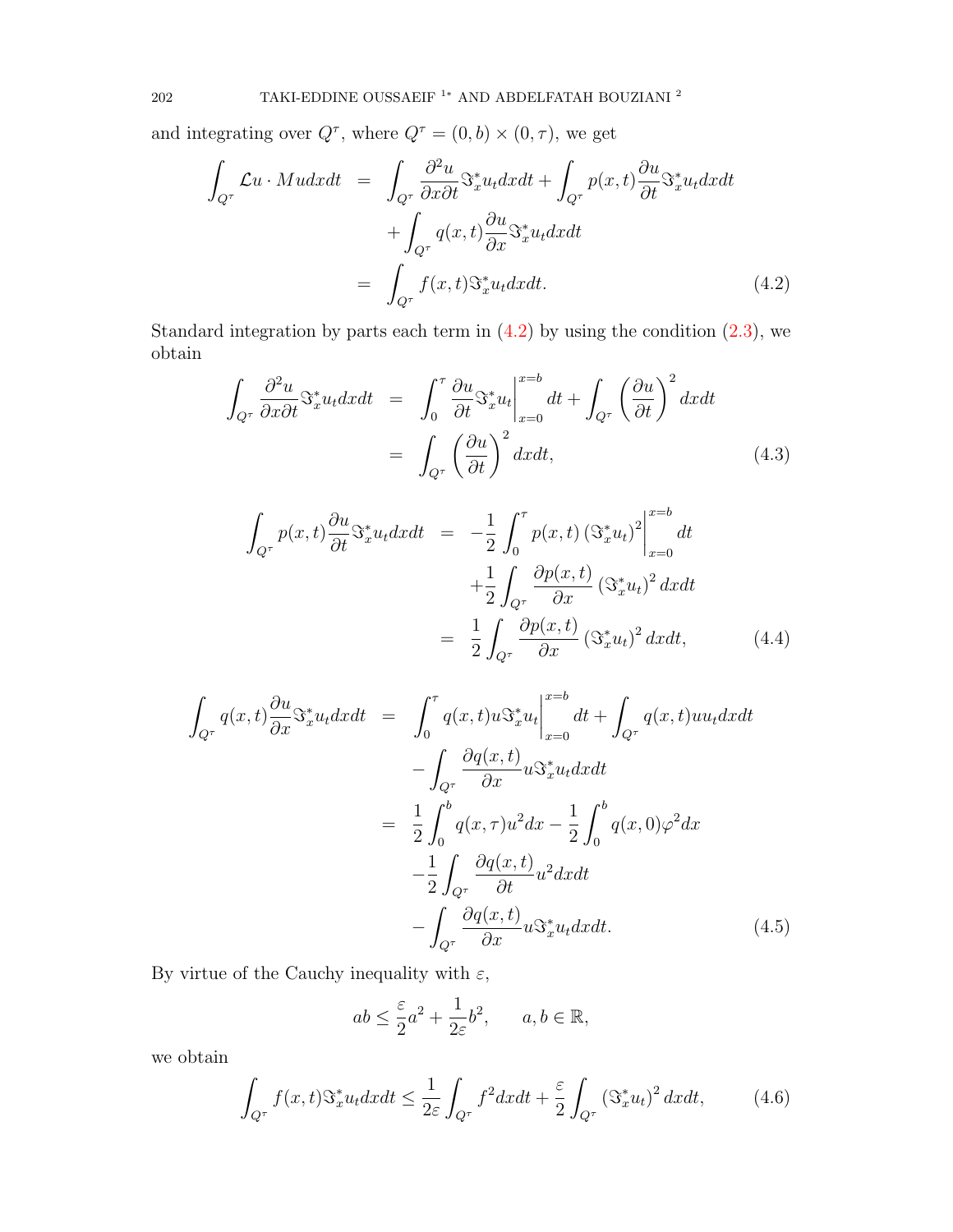and integrating over  $Q^{\tau}$ , where  $Q^{\tau} = (0, b) \times (0, \tau)$ , we get

<span id="page-4-0"></span>
$$
\int_{Q^{\tau}} \mathcal{L}u \cdot M u dx dt = \int_{Q^{\tau}} \frac{\partial^2 u}{\partial x \partial t} \mathfrak{S}_x^* u_t dx dt + \int_{Q^{\tau}} p(x, t) \frac{\partial u}{\partial t} \mathfrak{S}_x^* u_t dx dt \n+ \int_{Q^{\tau}} q(x, t) \frac{\partial u}{\partial x} \mathfrak{S}_x^* u_t dx dt \n= \int_{Q^{\tau}} f(x, t) \mathfrak{S}_x^* u_t dx dt.
$$
\n(4.2)

Standard integration by parts each term in  $(4.2)$  by using the condition  $(2.3)$ , we obtain

<span id="page-4-1"></span>
$$
\int_{Q^{\tau}} \frac{\partial^2 u}{\partial x \partial t} \mathcal{S}_x^* u_t dx dt = \int_0^{\tau} \frac{\partial u}{\partial t} \mathcal{S}_x^* u_t \Big|_{x=0}^{x=b} dt + \int_{Q^{\tau}} \left(\frac{\partial u}{\partial t}\right)^2 dx dt
$$
\n
$$
= \int_{Q^{\tau}} \left(\frac{\partial u}{\partial t}\right)^2 dx dt, \tag{4.3}
$$

$$
\int_{Q^{\tau}} p(x,t) \frac{\partial u}{\partial t} \mathfrak{S}_x^* u_t dx dt = -\frac{1}{2} \int_0^{\tau} p(x,t) \left( \mathfrak{S}_x^* u_t \right)^2 \Big|_{x=0}^{x=b} dt \n+ \frac{1}{2} \int_{Q^{\tau}} \frac{\partial p(x,t)}{\partial x} \left( \mathfrak{S}_x^* u_t \right)^2 dx dt \n= \frac{1}{2} \int_{Q^{\tau}} \frac{\partial p(x,t)}{\partial x} \left( \mathfrak{S}_x^* u_t \right)^2 dx dt, \tag{4.4}
$$

<span id="page-4-2"></span>
$$
\int_{Q^{\tau}} q(x,t) \frac{\partial u}{\partial x} \mathfrak{S}_{x}^{*} u_{t} dx dt = \int_{0}^{\tau} q(x,t) u \mathfrak{S}_{x}^{*} u_{t} \Big|_{x=0}^{x=b} dt + \int_{Q^{\tau}} q(x,t) u u_{t} dx dt \n- \int_{Q^{\tau}} \frac{\partial q(x,t)}{\partial x} u \mathfrak{S}_{x}^{*} u_{t} dx dt \n= \frac{1}{2} \int_{0}^{b} q(x,\tau) u^{2} dx - \frac{1}{2} \int_{0}^{b} q(x,0) \varphi^{2} dx \n- \frac{1}{2} \int_{Q^{\tau}} \frac{\partial q(x,t)}{\partial t} u^{2} dx dt \n- \int_{Q^{\tau}} \frac{\partial q(x,t)}{\partial x} u \mathfrak{S}_{x}^{*} u_{t} dx dt.
$$
\n(4.5)

By virtue of the Cauchy inequality with  $\varepsilon,$ 

$$
ab \le \frac{\varepsilon}{2}a^2 + \frac{1}{2\varepsilon}b^2, \qquad a, b \in \mathbb{R},
$$

we obtain

<span id="page-4-3"></span>
$$
\int_{Q^{\tau}} f(x,t) \mathfrak{S}_x^* u_t dx dt \le \frac{1}{2\varepsilon} \int_{Q^{\tau}} f^2 dx dt + \frac{\varepsilon}{2} \int_{Q^{\tau}} \left(\mathfrak{S}_x^* u_t\right)^2 dx dt, \tag{4.6}
$$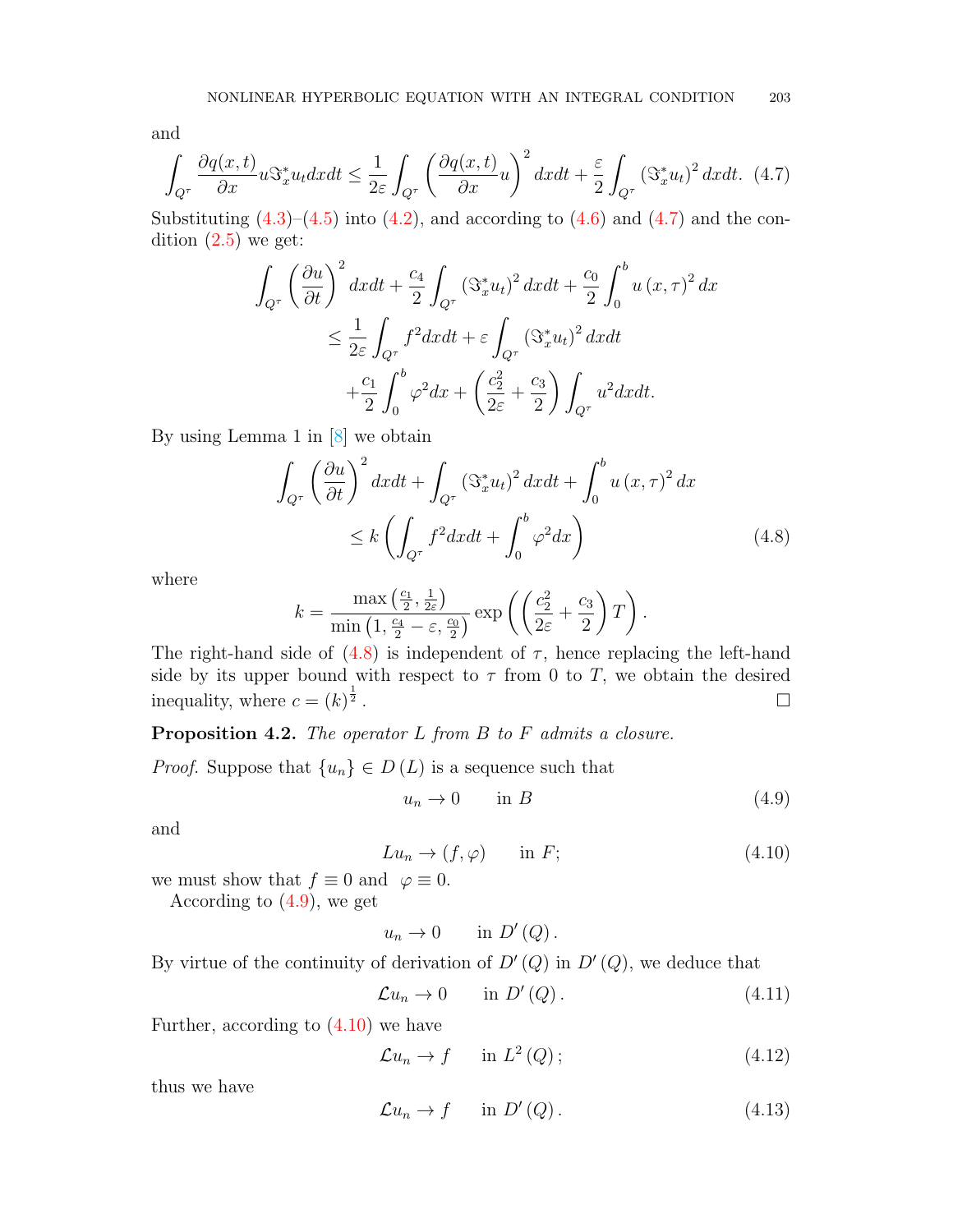and

<span id="page-5-0"></span>
$$
\int_{Q^{\tau}} \frac{\partial q(x,t)}{\partial x} u \Im_x^* u_t dx dt \le \frac{1}{2\varepsilon} \int_{Q^{\tau}} \left( \frac{\partial q(x,t)}{\partial x} u \right)^2 dx dt + \frac{\varepsilon}{2} \int_{Q^{\tau}} \left( \Im_x^* u_t \right)^2 dx dt. \tag{4.7}
$$

Substituting  $(4.3)$ – $(4.5)$  into  $(4.2)$ , and according to  $(4.6)$  and  $(4.7)$  and the condition  $(2.5)$  we get:

$$
\int_{Q^{\tau}} \left(\frac{\partial u}{\partial t}\right)^{2} dxdt + \frac{c_{4}}{2} \int_{Q^{\tau}} \left(\Im_{x}^{*} u_{t}\right)^{2} dxdt + \frac{c_{0}}{2} \int_{0}^{b} u\left(x, \tau\right)^{2} dx
$$
\n
$$
\leq \frac{1}{2\varepsilon} \int_{Q^{\tau}} f^{2} dxdt + \varepsilon \int_{Q^{\tau}} \left(\Im_{x}^{*} u_{t}\right)^{2} dxdt
$$
\n
$$
+ \frac{c_{1}}{2} \int_{0}^{b} \varphi^{2} dx + \left(\frac{c_{2}^{2}}{2\varepsilon} + \frac{c_{3}}{2}\right) \int_{Q^{\tau}} u^{2} dxdt.
$$

By using Lemma 1 in [\[8\]](#page-14-14) we obtain

<span id="page-5-1"></span>
$$
\int_{Q^{\tau}} \left(\frac{\partial u}{\partial t}\right)^{2} dxdt + \int_{Q^{\tau}} \left(\mathfrak{S}_{x}^{*} u_{t}\right)^{2} dxdt + \int_{0}^{b} u\left(x, \tau\right)^{2} dx
$$
\n
$$
\leq k \left(\int_{Q^{\tau}} f^{2} dxdt + \int_{0}^{b} \varphi^{2} dx\right) \tag{4.8}
$$

where

$$
k = \frac{\max\left(\frac{c_1}{2}, \frac{1}{2\varepsilon}\right)}{\min\left(1, \frac{c_4}{2} - \varepsilon, \frac{c_0}{2}\right)} \exp\left(\left(\frac{c_2^2}{2\varepsilon} + \frac{c_3}{2}\right)T\right).
$$

The right-hand side of  $(4.8)$  is independent of  $\tau$ , hence replacing the left-hand side by its upper bound with respect to  $\tau$  from 0 to T, we obtain the desired inequality, where  $c = (k)^{\frac{1}{2}}$  $\frac{1}{2}$  .

Proposition 4.2. The operator L from B to F admits a closure.

*Proof.* Suppose that  $\{u_n\} \in D(L)$  is a sequence such that

<span id="page-5-2"></span>
$$
u_n \to 0 \qquad \text{in } B \tag{4.9}
$$

and

<span id="page-5-3"></span>
$$
Lu_n \to (f, \varphi) \qquad \text{in } F; \tag{4.10}
$$

we must show that  $f \equiv 0$  and  $\varphi \equiv 0$ .

According to  $(4.9)$ , we get

 $u_n \to 0$  in  $D'(Q)$ .

By virtue of the continuity of derivation of  $D'(Q)$  in  $D'(Q)$ , we deduce that

$$
\mathcal{L}u_n \to 0 \qquad \text{in } D'(Q). \tag{4.11}
$$

Further, according to  $(4.10)$  we have

$$
\mathcal{L}u_n \to f \qquad \text{in } L^2(Q); \tag{4.12}
$$

thus we have

$$
\mathcal{L}u_n \to f \qquad \text{in } D'(Q) \,. \tag{4.13}
$$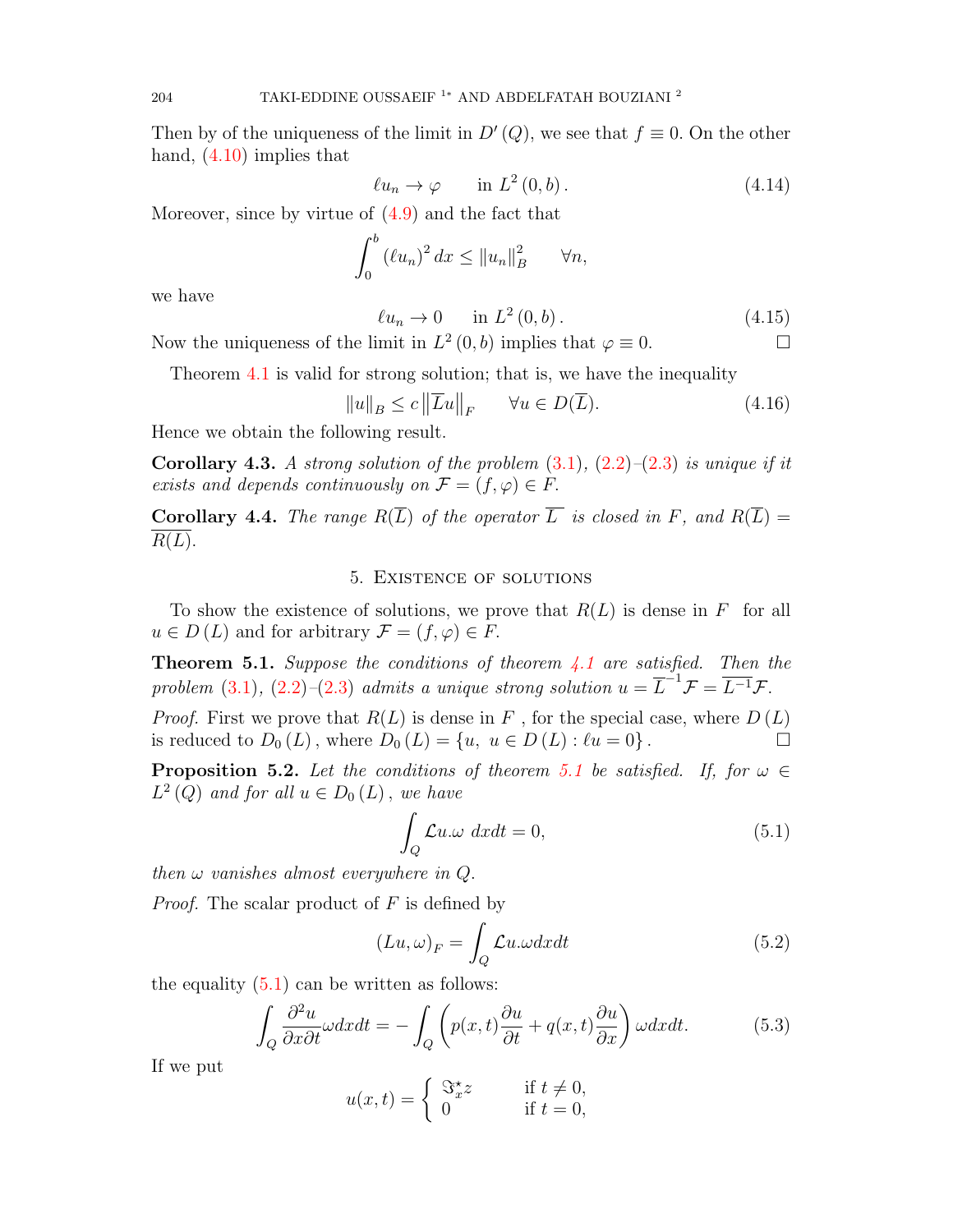Then by of the uniqueness of the limit in  $D'(Q)$ , we see that  $f \equiv 0$ . On the other hand,  $(4.10)$  implies that

$$
\ell u_n \to \varphi \qquad \text{in } L^2(0, b). \tag{4.14}
$$

Moreover, since by virtue of [\(4.9\)](#page-5-2) and the fact that

$$
\int_0^b (\ell u_n)^2 dx \le ||u_n||_B^2 \qquad \forall n,
$$

we have

$$
\ell u_n \to 0 \qquad \text{in } L^2(0, b). \tag{4.15}
$$

Now the uniqueness of the limit in  $L^2(0, b)$  implies that  $\varphi \equiv 0$ .

Theorem [4.1](#page-3-1) is valid for strong solution; that is, we have the inequality

$$
||u||_B \le c ||\overline{L}u||_F \qquad \forall u \in D(\overline{L}). \tag{4.16}
$$

Hence we obtain the following result.

**Corollary 4.3.** A strong solution of the problem  $(3.1)$ ,  $(2.2)$ – $(2.3)$  is unique if it exists and depends continuously on  $\mathcal{F} = (f, \varphi) \in F$ .

**Corollary 4.4.** The range  $R(\overline{L})$  of the operator  $\overline{L}$  is closed in F, and  $R(\overline{L}) =$  $R(L).$ 

### 5. Existence of solutions

To show the existence of solutions, we prove that  $R(L)$  is dense in F for all  $u \in D(L)$  and for arbitrary  $\mathcal{F} = (f, \varphi) \in F$ .

<span id="page-6-0"></span>**Theorem 5.1.** Suppose the conditions of theorem  $4.1$  are satisfied. Then the problem [\(3.1\)](#page-2-1), [\(2.2\)](#page-1-3)–[\(2.3\)](#page-1-1) admits a unique strong solution  $u = \overline{L}^{-1} \mathcal{F} = \overline{L^{-1}} \mathcal{F}$ .

*Proof.* First we prove that  $R(L)$  is dense in F, for the special case, where  $D(L)$ is reduced to  $D_0(L)$ , where  $D_0(L) = \{u, u \in D(L) : \ell u = 0\}$ .

<span id="page-6-3"></span>**Proposition 5.2.** Let the conditions of theorem [5.1](#page-6-0) be satisfied. If, for  $\omega \in$  $L^2(Q)$  and for all  $u \in D_0(L)$ , we have

<span id="page-6-1"></span>
$$
\int_{Q} \mathcal{L}u \cdot \omega \, dxdt = 0,\tag{5.1}
$$

then  $\omega$  vanishes almost everywhere in  $Q$ .

*Proof.* The scalar product of  $F$  is defined by

$$
(Lu, \omega)_F = \int_Q \mathcal{L}u. \omega dx dt
$$
\n(5.2)

the equality  $(5.1)$  can be written as follows:

<span id="page-6-2"></span>
$$
\int_{Q} \frac{\partial^2 u}{\partial x \partial t} \omega dx dt = -\int_{Q} \left( p(x, t) \frac{\partial u}{\partial t} + q(x, t) \frac{\partial u}{\partial x} \right) \omega dx dt.
$$
 (5.3)

If we put

$$
u(x,t) = \begin{cases} \n\mathbb{S}_x^{\star} z & \text{if } t \neq 0, \\ \n0 & \text{if } t = 0, \n\end{cases}
$$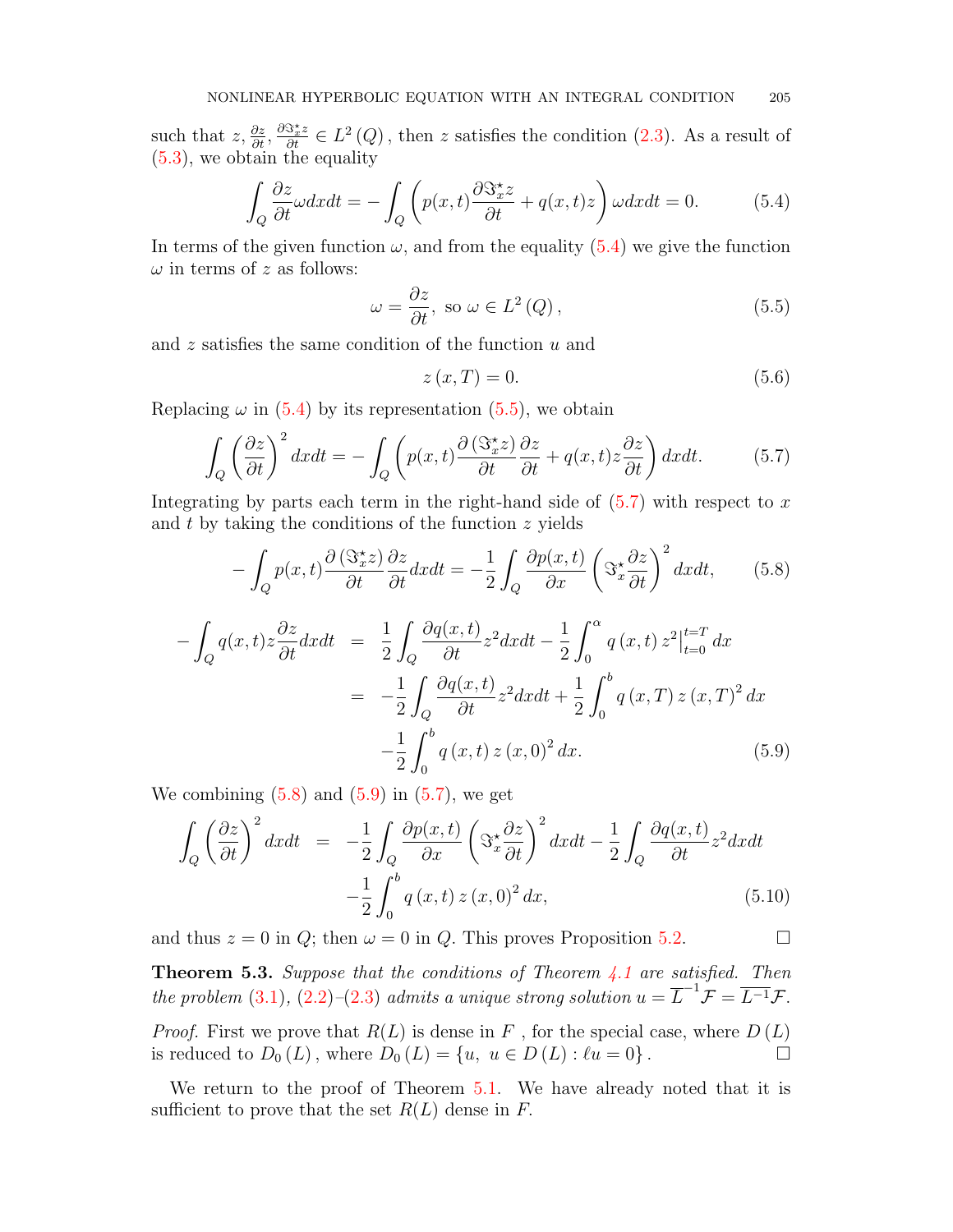such that  $z, \frac{\partial z}{\partial t}, \frac{\partial \Im z^*}{\partial t} \in L^2(Q)$ , then z satisfies the condition  $(2.3)$ . As a result of [\(5.3\)](#page-6-2), we obtain the equality

<span id="page-7-0"></span>
$$
\int_{Q} \frac{\partial z}{\partial t} \omega dx dt = -\int_{Q} \left( p(x, t) \frac{\partial \mathcal{S}_x^* z}{\partial t} + q(x, t) z \right) \omega dx dt = 0. \tag{5.4}
$$

In terms of the given function  $\omega$ , and from the equality [\(5.4\)](#page-7-0) we give the function  $\omega$  in terms of z as follows:

<span id="page-7-1"></span>
$$
\omega = \frac{\partial z}{\partial t}, \text{ so } \omega \in L^{2}(Q), \qquad (5.5)
$$

and z satisfies the same condition of the function u and

$$
z(x,T) = 0.\t\t(5.6)
$$

Replacing  $\omega$  in [\(5.4\)](#page-7-0) by its representation [\(5.5\)](#page-7-1), we obtain

<span id="page-7-2"></span>
$$
\int_{Q} \left(\frac{\partial z}{\partial t}\right)^{2} dx dt = -\int_{Q} \left(p(x,t)\frac{\partial (\Im z^{*}z)}{\partial t} \frac{\partial z}{\partial t} + q(x,t)z \frac{\partial z}{\partial t}\right) dx dt.
$$
 (5.7)

Integrating by parts each term in the right-hand side of  $(5.7)$  with respect to x and  $t$  by taking the conditions of the function  $z$  yields

<span id="page-7-3"></span>
$$
-\int_{Q} p(x,t) \frac{\partial (\Im_{x}^{\star} z)}{\partial t} \frac{\partial z}{\partial t} dx dt = -\frac{1}{2} \int_{Q} \frac{\partial p(x,t)}{\partial x} \left(\Im_{x}^{\star} \frac{\partial z}{\partial t}\right)^{2} dx dt, \qquad (5.8)
$$

<span id="page-7-4"></span>
$$
-\int_{Q} q(x,t)z \frac{\partial z}{\partial t} dx dt = \frac{1}{2} \int_{Q} \frac{\partial q(x,t)}{\partial t} z^{2} dx dt - \frac{1}{2} \int_{0}^{\alpha} q(x,t) z^{2} \Big|_{t=0}^{t=T} dx
$$

$$
= -\frac{1}{2} \int_{Q} \frac{\partial q(x,t)}{\partial t} z^{2} dx dt + \frac{1}{2} \int_{0}^{b} q(x,T) z(x,T)^{2} dx
$$

$$
- \frac{1}{2} \int_{0}^{b} q(x,t) z(x,0)^{2} dx.
$$
(5.9)

We combining  $(5.8)$  and  $(5.9)$  in  $(5.7)$ , we get

$$
\int_{Q} \left(\frac{\partial z}{\partial t}\right)^{2} dx dt = -\frac{1}{2} \int_{Q} \frac{\partial p(x,t)}{\partial x} \left(\Im_{x}^{*} \frac{\partial z}{\partial t}\right)^{2} dx dt - \frac{1}{2} \int_{Q} \frac{\partial q(x,t)}{\partial t} z^{2} dx dt - \frac{1}{2} \int_{0}^{b} q(x,t) z(x,0)^{2} dx,
$$
\n(5.10)

and thus  $z = 0$  in Q; then  $\omega = 0$  in Q. This proves Proposition [5.2.](#page-6-3)

**Theorem 5.3.** Suppose that the conditions of Theorem  $4.1$  are satisfied. Then the problem [\(3.1\)](#page-2-1), [\(2.2\)](#page-1-3)–[\(2.3\)](#page-1-1) admits a unique strong solution  $u = \overline{L}^{-1} \mathcal{F} = \overline{L^{-1}} \mathcal{F}$ .

*Proof.* First we prove that  $R(L)$  is dense in F, for the special case, where  $D(L)$ is reduced to  $D_0(L)$ , where  $D_0(L) = \{u, u \in D(L) : \ell u = 0\}$ .

We return to the proof of Theorem [5.1.](#page-6-0) We have already noted that it is sufficient to prove that the set  $R(L)$  dense in F.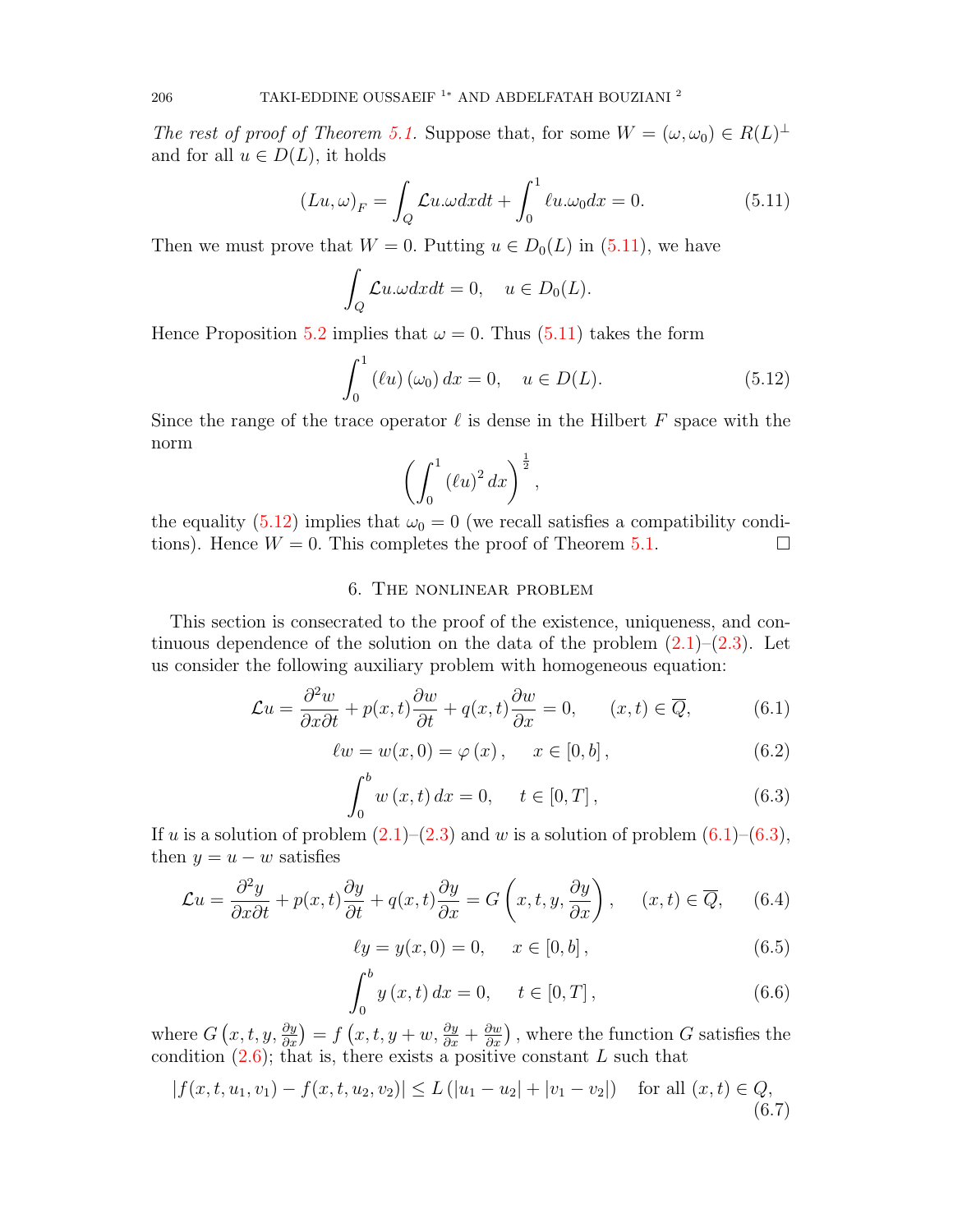The rest of proof of Theorem [5.1.](#page-6-0) Suppose that, for some  $W = (\omega, \omega_0) \in R(L)^{\perp}$ and for all  $u \in D(L)$ , it holds

<span id="page-8-0"></span>
$$
(Lu, \omega)_F = \int_Q \mathcal{L}u \cdot \omega dx dt + \int_0^1 \ell u \cdot \omega_0 dx = 0.
$$
 (5.11)

Then we must prove that  $W = 0$ . Putting  $u \in D_0(L)$  in [\(5.11\)](#page-8-0), we have

$$
\int_{Q} \mathcal{L}u \cdot \omega dx dt = 0, \quad u \in D_0(L).
$$

Hence Proposition [5.2](#page-6-3) implies that  $\omega = 0$ . Thus [\(5.11\)](#page-8-0) takes the form

<span id="page-8-1"></span>
$$
\int_0^1 (lu) (\omega_0) dx = 0, \quad u \in D(L).
$$
 (5.12)

Since the range of the trace operator  $\ell$  is dense in the Hilbert F space with the norm

$$
\left(\int_0^1 (\ell u)^2 dx\right)^{\frac{1}{2}},
$$

the equality [\(5.12\)](#page-8-1) implies that  $\omega_0 = 0$  (we recall satisfies a compatibility conditions). Hence  $W = 0$ . This completes the proof of Theorem [5.1.](#page-6-0)

# 6. The nonlinear problem

This section is consecrated to the proof of the existence, uniqueness, and continuous dependence of the solution on the data of the problem  $(2.1)$ – $(2.3)$ . Let us consider the following auxiliary problem with homogeneous equation:

<span id="page-8-2"></span>
$$
\mathcal{L}u = \frac{\partial^2 w}{\partial x \partial t} + p(x, t)\frac{\partial w}{\partial t} + q(x, t)\frac{\partial w}{\partial x} = 0, \qquad (x, t) \in \overline{Q},\tag{6.1}
$$

<span id="page-8-4"></span>
$$
\ell w = w(x, 0) = \varphi(x), \quad x \in [0, b], \tag{6.2}
$$

<span id="page-8-3"></span>
$$
\int_{0}^{b} w(x, t) dx = 0, \quad t \in [0, T],
$$
\n(6.3)

If u is a solution of problem  $(2.1)$ – $(2.3)$  and w is a solution of problem  $(6.1)$ – $(6.3)$ , then  $y = u - w$  satisfies

<span id="page-8-5"></span>
$$
\mathcal{L}u = \frac{\partial^2 y}{\partial x \partial t} + p(x, t)\frac{\partial y}{\partial t} + q(x, t)\frac{\partial y}{\partial x} = G\left(x, t, y, \frac{\partial y}{\partial x}\right), \quad (x, t) \in \overline{Q}, \quad (6.4)
$$

$$
\ell y = y(x, 0) = 0, \quad x \in [0, b], \tag{6.5}
$$

<span id="page-8-6"></span>
$$
\int_{0}^{b} y(x, t) dx = 0, \quad t \in [0, T], \tag{6.6}
$$

where  $G(x, t, y, \frac{\partial y}{\partial x}) = f(x, t, y + w, \frac{\partial y}{\partial x} + \frac{\partial w}{\partial x})$ , where the function G satisfies the condition  $(2.6)$ ; that is, there exists a positive constant L such that

<span id="page-8-7"></span>
$$
|f(x, t, u_1, v_1) - f(x, t, u_2, v_2)| \le L (|u_1 - u_2| + |v_1 - v_2|) \quad \text{for all } (x, t) \in Q,
$$
\n(6.7)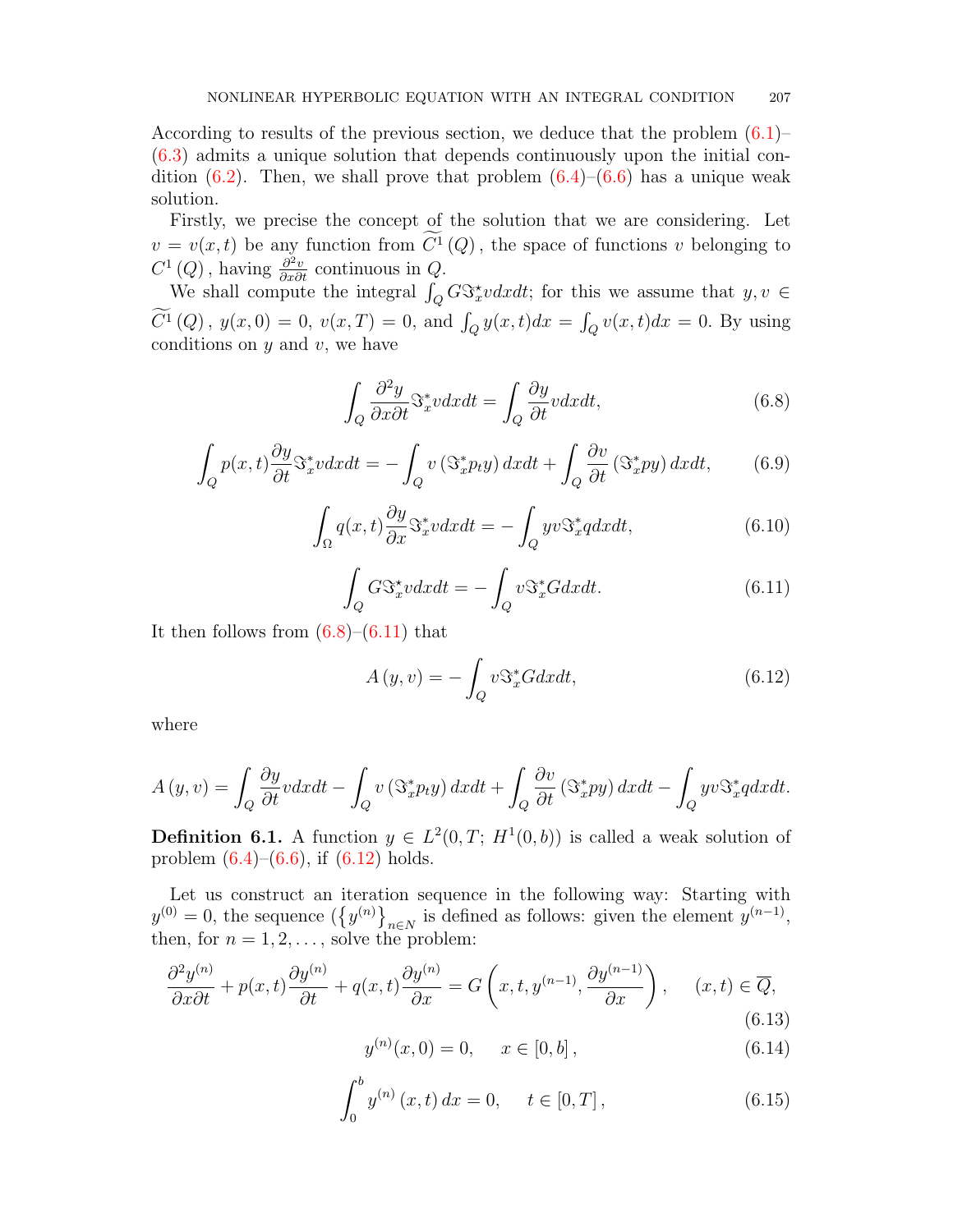According to results of the previous section, we deduce that the problem [\(6.1\)](#page-8-2)– [\(6.3\)](#page-8-3) admits a unique solution that depends continuously upon the initial condition  $(6.2)$ . Then, we shall prove that problem  $(6.4)$ – $(6.6)$  has a unique weak solution.

Firstly, we precise the concept of the solution that we are considering. Let  $v = v(x, t)$  be any function from  $C^1(Q)$ , the space of functions v belonging to  $C^{1}(Q)$ , having  $\frac{\partial^{2} v}{\partial x \partial t}$  continuous in  $Q$ .

We shall compute the integral  $\int_Q G\mathfrak{S}_x^* v dxdt$ ; for this we assume that  $y, v \in$  $C^{1}(Q)$ ,  $y(x, 0) = 0$ ,  $v(x, T) = 0$ , and  $\int_{Q} y(x, t)dx = \int_{Q} v(x, t)dx = 0$ . By using conditions on  $y$  and  $v$ , we have

<span id="page-9-0"></span>
$$
\int_{Q} \frac{\partial^2 y}{\partial x \partial t} \mathfrak{S}_x^* v dx dt = \int_{Q} \frac{\partial y}{\partial t} v dx dt, \tag{6.8}
$$

$$
\int_{Q} p(x,t) \frac{\partial y}{\partial t} \mathcal{S}_x^* v dx dt = -\int_{Q} v \left( \mathcal{S}_x^* p_t y \right) dx dt + \int_{Q} \frac{\partial v}{\partial t} \left( \mathcal{S}_x^* p y \right) dx dt, \tag{6.9}
$$

$$
\int_{\Omega} q(x,t) \frac{\partial y}{\partial x} \mathcal{S}_x^* v dx dt = -\int_{Q} yv \mathcal{S}_x^* q dx dt, \tag{6.10}
$$

<span id="page-9-1"></span>
$$
\int_{Q} G \mathcal{S}_x^* v dx dt = -\int_{Q} v \mathcal{S}_x^* G dx dt.
$$
\n(6.11)

It then follows from  $(6.8)$ – $(6.11)$  that

<span id="page-9-2"></span>
$$
A(y, v) = -\int_{Q} v \mathfrak{S}_{x}^{*} G dx dt, \qquad (6.12)
$$

where

$$
A(y, v) = \int_{Q} \frac{\partial y}{\partial t} v dx dt - \int_{Q} v \left( \mathfrak{S}_{x}^{*} p_{t} y \right) dx dt + \int_{Q} \frac{\partial v}{\partial t} \left( \mathfrak{S}_{x}^{*} p y \right) dx dt - \int_{Q} y v \mathfrak{S}_{x}^{*} q dx dt.
$$

<span id="page-9-5"></span>**Definition 6.1.** A function  $y \in L^2(0,T; H^1(0,b))$  is called a weak solution of problem  $(6.4)$ – $(6.6)$ , if  $(6.12)$  holds.

Let us construct an iteration sequence in the following way: Starting with  $y^{(0)} = 0$ , the sequence  $(\{y^{(n)}\}_{n \in N}$  is defined as follows: given the element  $y^{(n-1)}$ , then, for  $n = 1, 2, \ldots$ , solve the problem:

<span id="page-9-3"></span>
$$
\frac{\partial^2 y^{(n)}}{\partial x \partial t} + p(x, t) \frac{\partial y^{(n)}}{\partial t} + q(x, t) \frac{\partial y^{(n)}}{\partial x} = G\left(x, t, y^{(n-1)}, \frac{\partial y^{(n-1)}}{\partial x}\right), \quad (x, t) \in \overline{Q},
$$
\n(6.13)

$$
y^{(n)}(x,0) = 0, \quad x \in [0,b], \tag{6.14}
$$

<span id="page-9-4"></span>
$$
\int_0^b y^{(n)}(x,t) dx = 0, \quad t \in [0,T],
$$
\n(6.15)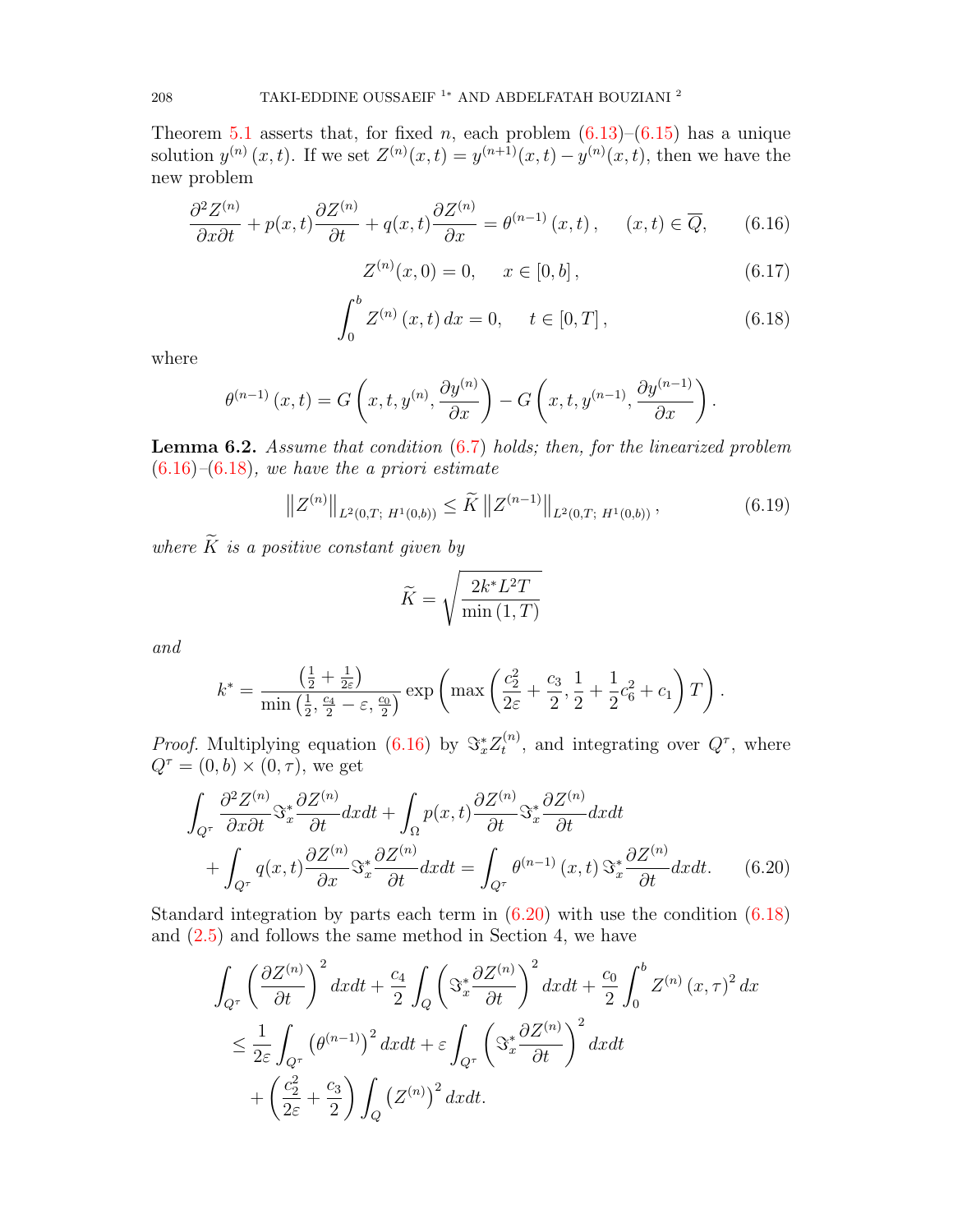Theorem [5.1](#page-6-0) asserts that, for fixed n, each problem  $(6.13)$ – $(6.15)$  has a unique solution  $y^{(n)}(x,t)$ . If we set  $Z^{(n)}(x,t) = y^{(n+1)}(x,t) - y^{(n)}(x,t)$ , then we have the new problem

<span id="page-10-0"></span>
$$
\frac{\partial^2 Z^{(n)}}{\partial x \partial t} + p(x, t) \frac{\partial Z^{(n)}}{\partial t} + q(x, t) \frac{\partial Z^{(n)}}{\partial x} = \theta^{(n-1)}(x, t), \quad (x, t) \in \overline{Q}, \qquad (6.16)
$$

$$
Z^{(n)}(x,0) = 0, \quad x \in [0,b], \tag{6.17}
$$

<span id="page-10-1"></span>
$$
\int_0^b Z^{(n)}(x,t) dx = 0, \quad t \in [0,T],
$$
\n(6.18)

where

$$
\theta^{(n-1)}(x,t) = G\left(x,t,y^{(n)},\frac{\partial y^{(n)}}{\partial x}\right) - G\left(x,t,y^{(n-1)},\frac{\partial y^{(n-1)}}{\partial x}\right).
$$

<span id="page-10-4"></span>**Lemma 6.2.** Assume that condition  $(6.7)$  holds; then, for the linearized problem  $(6.16)$ – $(6.18)$ , we have the a priori estimate

<span id="page-10-3"></span>
$$
||Z^{(n)}||_{L^{2}(0,T; H^{1}(0,b))} \leq \widetilde{K} ||Z^{(n-1)}||_{L^{2}(0,T; H^{1}(0,b))}, \qquad (6.19)
$$

where  $\widetilde{K}$  is a positive constant given by

<span id="page-10-2"></span>
$$
\widetilde{K} = \sqrt{\frac{2k^*L^2T}{\min(1,T)}}
$$

and

$$
k^* = \frac{\left(\frac{1}{2} + \frac{1}{2\varepsilon}\right)}{\min\left(\frac{1}{2}, \frac{c_4}{2} - \varepsilon, \frac{c_0}{2}\right)} \exp\left(\max\left(\frac{c_2^2}{2\varepsilon} + \frac{c_3}{2}, \frac{1}{2} + \frac{1}{2}c_6^2 + c_1\right)T\right).
$$

*Proof.* Multiplying equation [\(6.16\)](#page-10-0) by  $\Im^*_x Z_t^{(n)}$  $t^{(n)}$ , and integrating over  $Q^{\tau}$ , where  $Q^{\tau} = (0, b) \times (0, \tau)$ , we get

$$
\int_{Q^{\tau}} \frac{\partial^2 Z^{(n)}}{\partial x \partial t} \mathfrak{S}_x^* \frac{\partial Z^{(n)}}{\partial t} dx dt + \int_{\Omega} p(x, t) \frac{\partial Z^{(n)}}{\partial t} \mathfrak{S}_x^* \frac{\partial Z^{(n)}}{\partial t} dx dt + \int_{Q^{\tau}} q(x, t) \frac{\partial Z^{(n)}}{\partial x} \mathfrak{S}_x^* \frac{\partial Z^{(n)}}{\partial t} dx dt = \int_{Q^{\tau}} \theta^{(n-1)}(x, t) \mathfrak{S}_x^* \frac{\partial Z^{(n)}}{\partial t} dx dt.
$$
 (6.20)

Standard integration by parts each term in  $(6.20)$  with use the condition  $(6.18)$ and [\(2.5\)](#page-1-2) and follows the same method in Section 4, we have

$$
\int_{Q^{\tau}} \left(\frac{\partial Z^{(n)}}{\partial t}\right)^{2} dxdt + \frac{c_{4}}{2} \int_{Q} \left(\Im_{x}^{*} \frac{\partial Z^{(n)}}{\partial t}\right)^{2} dxdt + \frac{c_{0}}{2} \int_{0}^{b} Z^{(n)}(x, \tau)^{2} dx
$$
\n
$$
\leq \frac{1}{2\varepsilon} \int_{Q^{\tau}} \left(\theta^{(n-1)}\right)^{2} dxdt + \varepsilon \int_{Q^{\tau}} \left(\Im_{x}^{*} \frac{\partial Z^{(n)}}{\partial t}\right)^{2} dxdt
$$
\n
$$
+ \left(\frac{c_{2}^{2}}{2\varepsilon} + \frac{c_{3}}{2}\right) \int_{Q} \left(Z^{(n)}\right)^{2} dxdt.
$$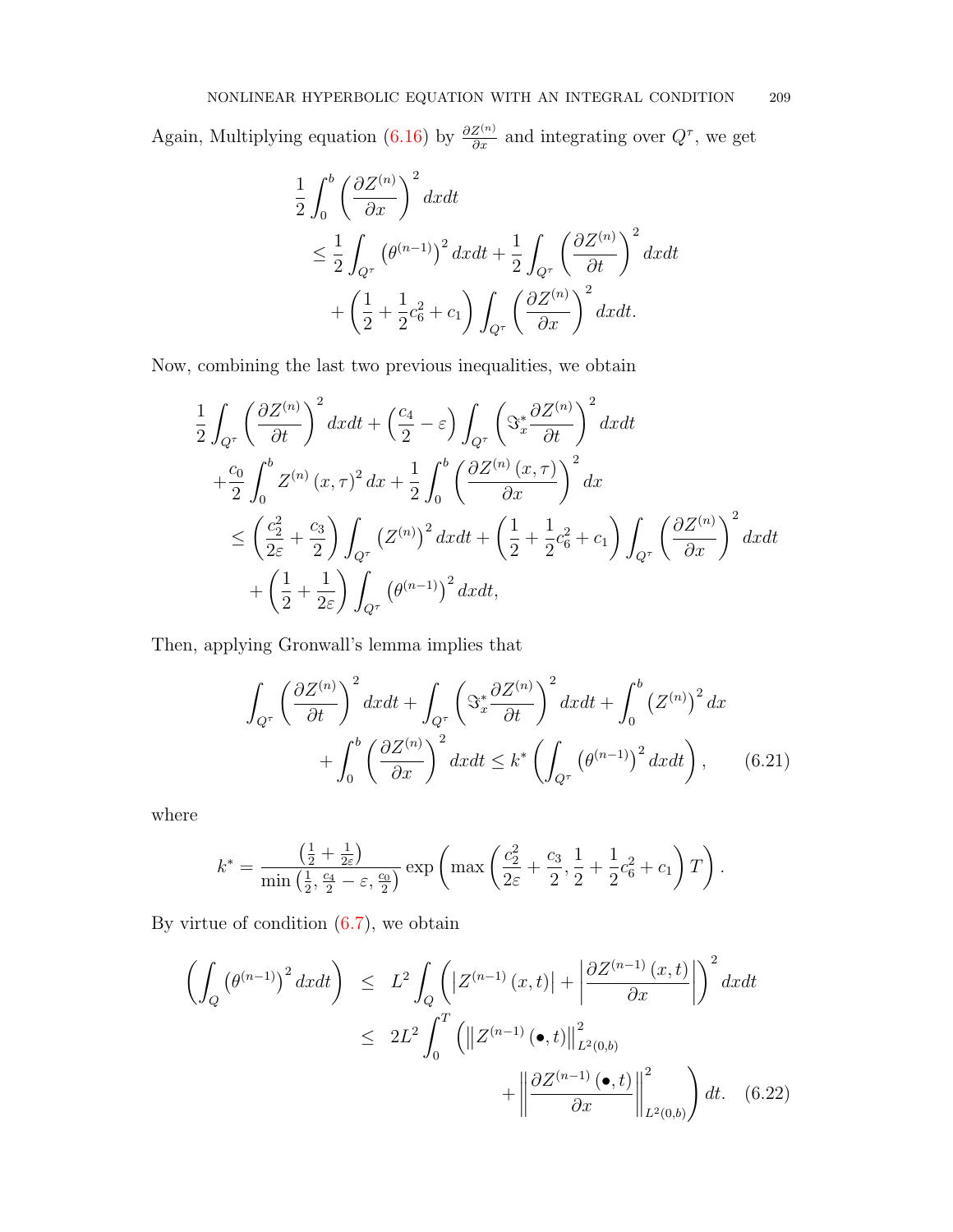Again, Multiplying equation [\(6.16\)](#page-10-0) by  $\frac{\partial Z^{(n)}}{\partial x}$  and integrating over  $Q^{\tau}$ , we get

$$
\frac{1}{2} \int_0^b \left(\frac{\partial Z^{(n)}}{\partial x}\right)^2 dx dt
$$
\n
$$
\leq \frac{1}{2} \int_{Q^\tau} \left(\theta^{(n-1)}\right)^2 dx dt + \frac{1}{2} \int_{Q^\tau} \left(\frac{\partial Z^{(n)}}{\partial t}\right)^2 dx dt
$$
\n
$$
+ \left(\frac{1}{2} + \frac{1}{2}c_6^2 + c_1\right) \int_{Q^\tau} \left(\frac{\partial Z^{(n)}}{\partial x}\right)^2 dx dt.
$$

Now, combining the last two previous inequalities, we obtain

$$
\frac{1}{2} \int_{Q^{\tau}} \left(\frac{\partial Z^{(n)}}{\partial t}\right)^{2} dx dt + \left(\frac{c_{4}}{2} - \varepsilon\right) \int_{Q^{\tau}} \left(\Im_{x}^{*} \frac{\partial Z^{(n)}}{\partial t}\right)^{2} dx dt \n+ \frac{c_{0}}{2} \int_{0}^{b} Z^{(n)}(x, \tau)^{2} dx + \frac{1}{2} \int_{0}^{b} \left(\frac{\partial Z^{(n)}(x, \tau)}{\partial x}\right)^{2} dx \n\leq \left(\frac{c_{2}^{2}}{2\varepsilon} + \frac{c_{3}}{2}\right) \int_{Q^{\tau}} \left(Z^{(n)}\right)^{2} dx dt + \left(\frac{1}{2} + \frac{1}{2}c_{6}^{2} + c_{1}\right) \int_{Q^{\tau}} \left(\frac{\partial Z^{(n)}}{\partial x}\right)^{2} dx dt \n+ \left(\frac{1}{2} + \frac{1}{2\varepsilon}\right) \int_{Q^{\tau}} \left(\theta^{(n-1)}\right)^{2} dx dt,
$$

Then, applying Gronwall's lemma implies that

<span id="page-11-1"></span>
$$
\int_{Q^{\tau}} \left(\frac{\partial Z^{(n)}}{\partial t}\right)^{2} dxdt + \int_{Q^{\tau}} \left(\Im_x^* \frac{\partial Z^{(n)}}{\partial t}\right)^{2} dxdt + \int_0^b \left(Z^{(n)}\right)^{2} dx + \int_0^b \left(\frac{\partial Z^{(n)}}{\partial x}\right)^{2} dxdt \le k^* \left(\int_{Q^{\tau}} \left(\theta^{(n-1)}\right)^{2} dxdt\right), \quad (6.21)
$$

where

$$
k^* = \frac{\left(\frac{1}{2} + \frac{1}{2\varepsilon}\right)}{\min\left(\frac{1}{2}, \frac{c_4}{2} - \varepsilon, \frac{c_0}{2}\right)} \exp\left(\max\left(\frac{c_2^2}{2\varepsilon} + \frac{c_3}{2}, \frac{1}{2} + \frac{1}{2}c_6^2 + c_1\right)T\right).
$$

By virtue of condition  $(6.7)$ , we obtain

<span id="page-11-0"></span>
$$
\left(\int_{Q} \left(\theta^{(n-1)}\right)^{2} dx dt\right) \leq L^{2} \int_{Q} \left(\left|Z^{(n-1)}\left(x,t\right)\right| + \left|\frac{\partial Z^{(n-1)}\left(x,t\right)}{\partial x}\right|\right)^{2} dx dt
$$
\n
$$
\leq 2L^{2} \int_{0}^{T} \left(\left\|Z^{(n-1)}\left(\bullet,t\right)\right\|_{L^{2}(0,b)}^{2} + \left\|\frac{\partial Z^{(n-1)}\left(\bullet,t\right)}{\partial x}\right\|_{L^{2}(0,b)}^{2}\right) dt. \quad (6.22)
$$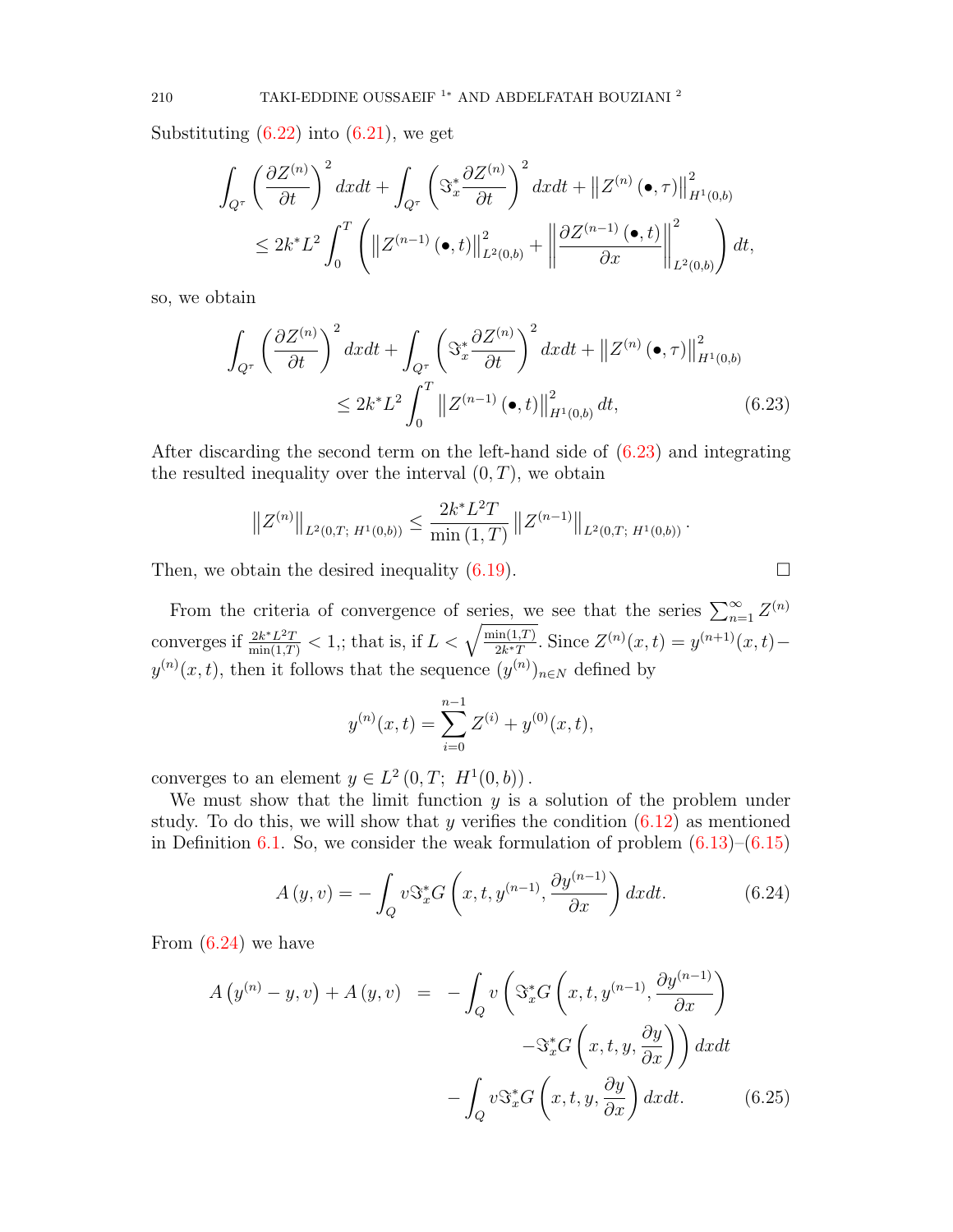Substituting  $(6.22)$  into  $(6.21)$ , we get

$$
\int_{Q^{\tau}} \left(\frac{\partial Z^{(n)}}{\partial t}\right)^{2} dxdt + \int_{Q^{\tau}} \left(\mathfrak{S}_{x}^{*} \frac{\partial Z^{(n)}}{\partial t}\right)^{2} dxdt + ||Z^{(n)}(\bullet, \tau)||_{H^{1}(0,b)}^{2}
$$
\n
$$
\leq 2k^{*} L^{2} \int_{0}^{T} \left(||Z^{(n-1)}(\bullet, t)||_{L^{2}(0,b)}^{2} + \left\|\frac{\partial Z^{(n-1)}(\bullet, t)}{\partial x}\right\|_{L^{2}(0,b)}^{2}\right) dt,
$$

so, we obtain

<span id="page-12-0"></span>
$$
\int_{Q^{\tau}} \left(\frac{\partial Z^{(n)}}{\partial t}\right)^{2} dx dt + \int_{Q^{\tau}} \left(\Im_x^* \frac{\partial Z^{(n)}}{\partial t}\right)^{2} dx dt + \|Z^{(n)}(\bullet, \tau)\|_{H^1(0, b)}^2
$$
\n
$$
\leq 2k^* L^2 \int_0^T \|Z^{(n-1)}(\bullet, t)\|_{H^1(0, b)}^2 dt, \tag{6.23}
$$

After discarding the second term on the left-hand side of [\(6.23\)](#page-12-0) and integrating the resulted inequality over the interval  $(0, T)$ , we obtain

$$
||Z^{(n)}||_{L^{2}(0,T; H^{1}(0,b))} \leq \frac{2k^{*}L^{2}T}{\min(1,T)} ||Z^{(n-1)}||_{L^{2}(0,T; H^{1}(0,b))}.
$$

Then, we obtain the desired inequality [\(6.19\)](#page-10-3).  $\Box$ 

From the criteria of convergence of series, we see that the series  $\sum_{n=1}^{\infty} Z^{(n)}$ converges if  $\frac{2k^*L^2T}{\min(1,T)} < 1$ ,; that is, if  $L < \sqrt{\frac{\min(1,T)}{2k^*T}}$ . Since  $Z^{(n)}(x,t) = y^{(n+1)}(x,t)$  $y^{(n)}(x,t)$ , then it follows that the sequence  $(y^{(n)})_{n\in\mathbb{N}}$  defined by

$$
y^{(n)}(x,t) = \sum_{i=0}^{n-1} Z^{(i)} + y^{(0)}(x,t),
$$

converges to an element  $y \in L^2(0,T; H^1(0,b))$ .

We must show that the limit function  $y$  is a solution of the problem under study. To do this, we will show that y verifies the condition  $(6.12)$  as mentioned in Definition [6.1.](#page-9-5) So, we consider the weak formulation of problem  $(6.13)$ – $(6.15)$ 

<span id="page-12-1"></span>
$$
A(y,v) = -\int_{Q} v \mathfrak{S}_{x}^{*} G\left(x, t, y^{(n-1)}, \frac{\partial y^{(n-1)}}{\partial x}\right) dx dt.
$$
 (6.24)

From [\(6.24\)](#page-12-1) we have

<span id="page-12-2"></span>
$$
A\left(y^{(n)} - y, v\right) + A\left(y, v\right) = -\int_{Q} v\left(\Im_{x}^{*} G\left(x, t, y^{(n-1)}, \frac{\partial y^{(n-1)}}{\partial x}\right) - \Im_{x}^{*} G\left(x, t, y, \frac{\partial y}{\partial x}\right)\right) dx dt
$$

$$
-\int_{Q} v \Im_{x}^{*} G\left(x, t, y, \frac{\partial y}{\partial x}\right) dx dt. \tag{6.25}
$$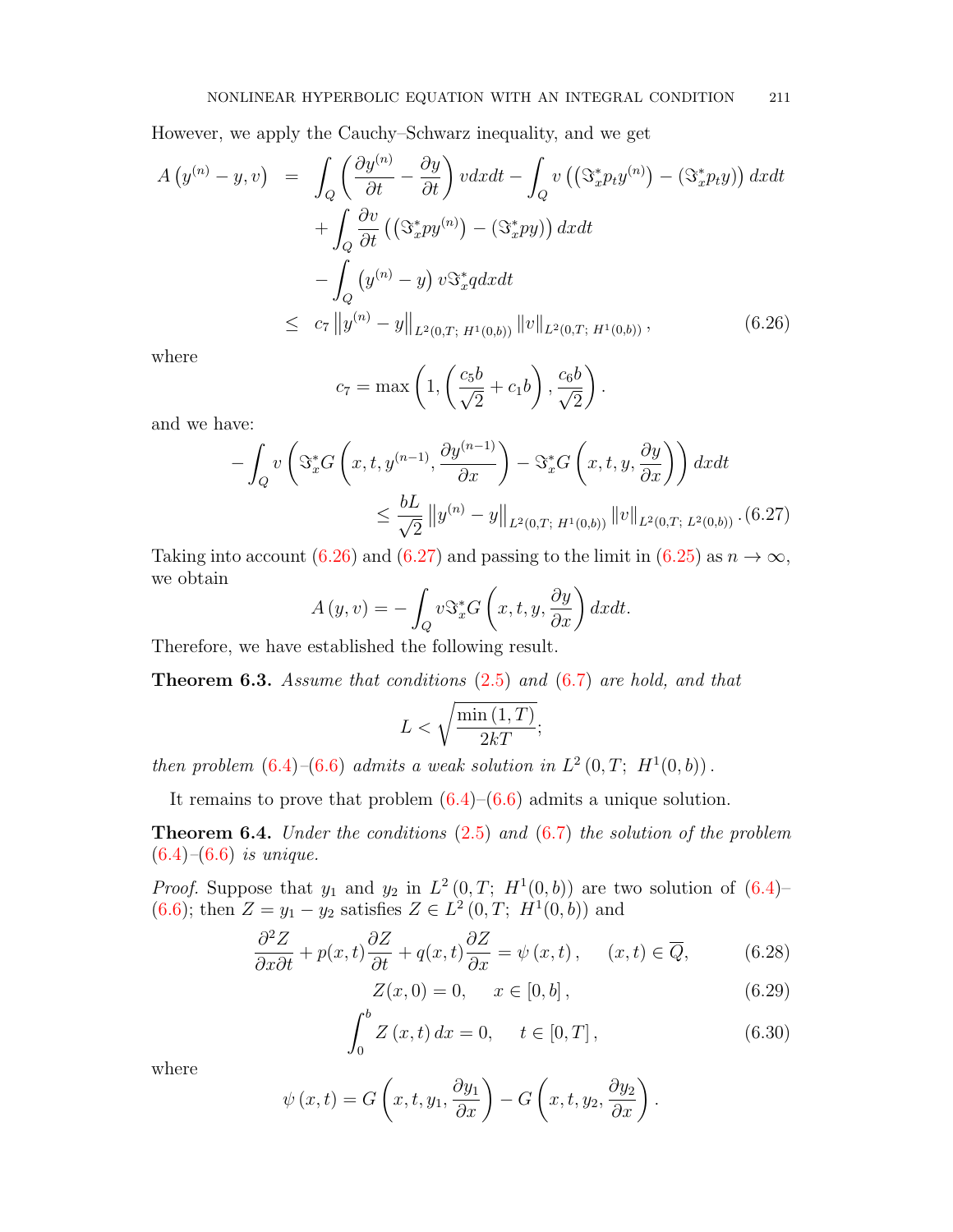However, we apply the Cauchy–Schwarz inequality, and we get

<span id="page-13-0"></span>
$$
A\left(y^{(n)}-y,v\right) = \int_{Q} \left(\frac{\partial y^{(n)}}{\partial t} - \frac{\partial y}{\partial t}\right) v dx dt - \int_{Q} v\left(\left(\Im_x^* p_t y^{(n)}\right) - \left(\Im_x^* p_t y\right)\right) dx dt
$$

$$
+ \int_{Q} \frac{\partial v}{\partial t} \left(\left(\Im_x^* p y^{(n)}\right) - \left(\Im_x^* p y\right)\right) dx dt
$$

$$
- \int_{Q} \left(y^{(n)} - y\right) v \Im_x^* q dx dt
$$

$$
\leq c_7 \left\|y^{(n)} - y\right\|_{L^2(0,T; H^1(0,b))} \left\|v\right\|_{L^2(0,T; H^1(0,b))}, \tag{6.26}
$$

where

$$
c_7 = \max\left(1, \left(\frac{c_5b}{\sqrt{2}} + c_1b\right), \frac{c_6b}{\sqrt{2}}\right).
$$

and we have:

<span id="page-13-1"></span>
$$
-\int_{Q} v\left(\Im_{x}^{*}G\left(x,t,y^{(n-1)},\frac{\partial y^{(n-1)}}{\partial x}\right)-\Im_{x}^{*}G\left(x,t,y,\frac{\partial y}{\partial x}\right)\right)dxdt
$$
  

$$
\leq \frac{bL}{\sqrt{2}}\left\|y^{(n)}-y\right\|_{L^{2}(0,T; H^{1}(0,b))}\left\|v\right\|_{L^{2}(0,T; L^{2}(0,b))}.(6.27)
$$

Taking into account [\(6.26\)](#page-13-0) and [\(6.27\)](#page-13-1) and passing to the limit in [\(6.25\)](#page-12-2) as  $n \to \infty$ , we obtain

$$
A(y, v) = -\int_{Q} v \mathcal{S}_{x}^{*} G\left(x, t, y, \frac{\partial y}{\partial x}\right) dx dt.
$$

Therefore, we have established the following result.

**Theorem 6.3.** Assume that conditions  $(2.5)$  and  $(6.7)$  are hold, and that

$$
L < \sqrt{\frac{\min\left(1, T\right)}{2kT}};
$$

then problem  $(6.4)$ - $(6.6)$  admits a weak solution in  $L^2(0,T; H^1(0,b))$ .

It remains to prove that problem  $(6.4)$ – $(6.6)$  admits a unique solution.

**Theorem 6.4.** Under the conditions  $(2.5)$  and  $(6.7)$  the solution of the problem  $(6.4)$ – $(6.6)$  is unique.

*Proof.* Suppose that  $y_1$  and  $y_2$  in  $L^2(0,T; H^1(0,b))$  are two solution of  $(6.4)$ [\(6.6\)](#page-8-6); then  $Z = y_1 - y_2$  satisfies  $Z \in L^2(0, T; H^1(0, b))$  and

<span id="page-13-2"></span>
$$
\frac{\partial^2 Z}{\partial x \partial t} + p(x, t) \frac{\partial Z}{\partial t} + q(x, t) \frac{\partial Z}{\partial x} = \psi(x, t), \quad (x, t) \in \overline{Q}, \quad (6.28)
$$

$$
Z(x,0) = 0, \quad x \in [0,b], \tag{6.29}
$$

$$
\int_0^b Z(x, t) dx = 0, \quad t \in [0, T], \tag{6.30}
$$

where

$$
\psi(x,t) = G\left(x,t,y_1,\frac{\partial y_1}{\partial x}\right) - G\left(x,t,y_2,\frac{\partial y_2}{\partial x}\right).
$$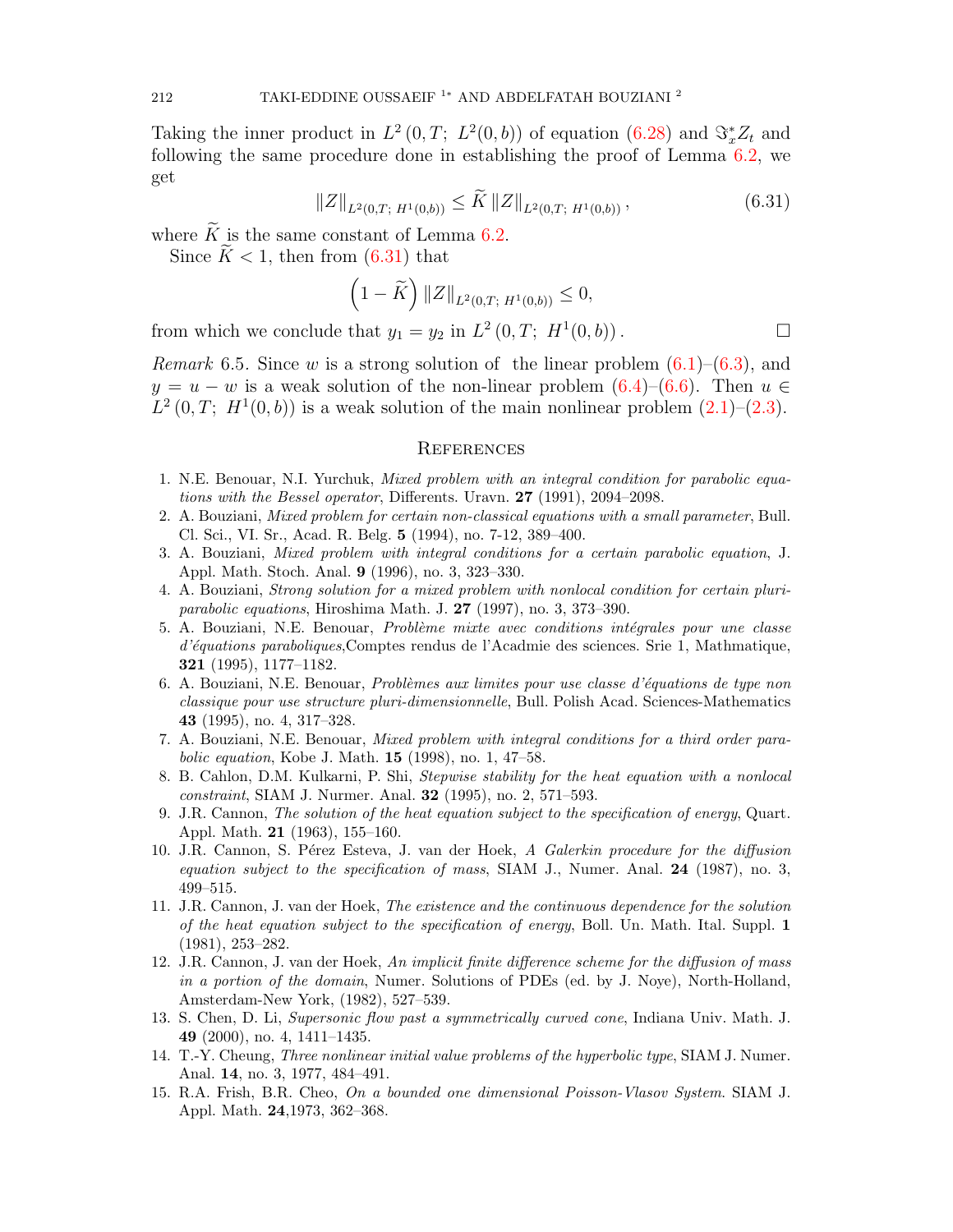Taking the inner product in  $L^2(0,T; L^2(0,b))$  of equation  $(6.28)$  and  $\Im^*_x Z_t$  and following the same procedure done in establishing the proof of Lemma [6.2,](#page-10-4) we get

<span id="page-14-15"></span>
$$
||Z||_{L^{2}(0,T; H^{1}(0,b))} \leq \widetilde{K} ||Z||_{L^{2}(0,T; H^{1}(0,b))},
$$
\n(6.31)

where  $\widetilde{K}$  is the same constant of Lemma [6.2.](#page-10-4)

Since  $\widetilde{K} < 1$ , then from [\(6.31\)](#page-14-15) that

$$
\left(1 - \widetilde{K}\right) \|Z\|_{L^2(0,T; H^1(0,b))} \le 0,
$$

from which we conclude that  $y_1 = y_2$  in  $L^2(0,T; H^1(0,b))$ .

*Remark* 6.5. Since w is a strong solution of the linear problem  $(6.1)$ – $(6.3)$ , and  $y = u - w$  is a weak solution of the non-linear problem  $(6.4)$ – $(6.6)$ . Then  $u \in$  $L^2(0,T; H^1(0,b))$  is a weak solution of the main nonlinear problem  $(2.1)$ – $(2.3)$ .

#### **REFERENCES**

- <span id="page-14-7"></span>1. N.E. Benouar, N.I. Yurchuk, Mixed problem with an integral condition for parabolic equations with the Bessel operator, Differents. Uravn. 27 (1991), 2094–2098.
- <span id="page-14-8"></span>2. A. Bouziani, Mixed problem for certain non-classical equations with a small parameter, Bull. Cl. Sci., VI. Sr., Acad. R. Belg. 5 (1994), no. 7-12, 389–400.
- <span id="page-14-9"></span>3. A. Bouziani, Mixed problem with integral conditions for a certain parabolic equation, J. Appl. Math. Stoch. Anal. 9 (1996), no. 3, 323–330.
- <span id="page-14-10"></span>4. A. Bouziani, Strong solution for a mixed problem with nonlocal condition for certain pluriparabolic equations, Hiroshima Math. J. 27 (1997), no. 3, 373–390.
- <span id="page-14-11"></span>5. A. Bouziani, N.E. Benouar, *Problème mixte avec conditions intégrales pour une classe* d'équations paraboliques, Comptes rendus de l'Acadmie des sciences. Srie 1, Mathmatique, 321 (1995), 1177–1182.
- <span id="page-14-12"></span>6. A. Bouziani, N.E. Benouar, Problèmes aux limites pour use classe d'équations de type non classique pour use structure pluri-dimensionnelle, Bull. Polish Acad. Sciences-Mathematics 43 (1995), no. 4, 317–328.
- <span id="page-14-13"></span>7. A. Bouziani, N.E. Benouar, Mixed problem with integral conditions for a third order parabolic equation, Kobe J. Math. 15 (1998), no. 1, 47–58.
- <span id="page-14-14"></span>8. B. Cahlon, D.M. Kulkarni, P. Shi, Stepwise stability for the heat equation with a nonlocal constraint, SIAM J. Nurmer. Anal. 32 (1995), no. 2, 571–593.
- <span id="page-14-3"></span>9. J.R. Cannon, The solution of the heat equation subject to the specification of energy, Quart. Appl. Math. 21 (1963), 155–160.
- <span id="page-14-6"></span>10. J.R. Cannon, S. Pérez Esteva, J. van der Hoek, A Galerkin procedure for the diffusion equation subject to the specification of mass, SIAM J., Numer. Anal.  $24$  (1987), no. 3, 499–515.
- <span id="page-14-4"></span>11. J.R. Cannon, J. van der Hoek, The existence and the continuous dependence for the solution of the heat equation subject to the specification of energy, Boll. Un. Math. Ital. Suppl. 1 (1981), 253–282.
- <span id="page-14-5"></span>12. J.R. Cannon, J. van der Hoek, An implicit finite difference scheme for the diffusion of mass in a portion of the domain, Numer. Solutions of PDEs (ed. by J. Noye), North-Holland, Amsterdam-New York, (1982), 527–539.
- <span id="page-14-2"></span>13. S. Chen, D. Li, Supersonic flow past a symmetrically curved cone, Indiana Univ. Math. J. 49 (2000), no. 4, 1411–1435.
- <span id="page-14-1"></span>14. T.-Y. Cheung, Three nonlinear initial value problems of the hyperbolic type, SIAM J. Numer. Anal. 14, no. 3, 1977, 484–491.
- <span id="page-14-0"></span>15. R.A. Frish, B.R. Cheo, On a bounded one dimensional Poisson-Vlasov System. SIAM J. Appl. Math. 24,1973, 362–368.